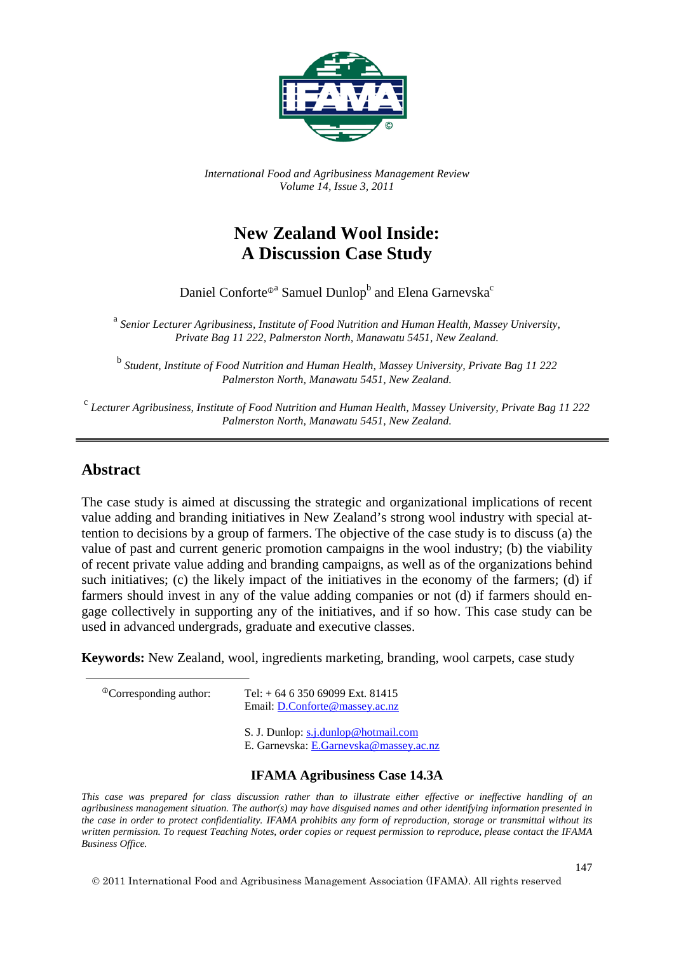

*International Food and Agribusiness Management Review Volume 14, Issue 3, 2011*

# **New Zealand Wool Inside: A Discussion Case Study**

Daniel Conforte<sup>®</sup> Samuel Dunlop<sup>b</sup> and Elena Garnevska<sup>c</sup>

<sup>a</sup> *Senior Lecturer Agribusiness, Institute of Food Nutrition and Human Health, Massey University, Private Bag 11 222, Palmerston North, Manawatu 5451, New Zealand.*

<sup>b</sup> *Student, Institute of Food Nutrition and Human Health, Massey University, Private Bag 11 222 Palmerston North, Manawatu 5451, New Zealand.*

<sup>c</sup> *Lecturer Agribusiness, Institute of Food Nutrition and Human Health, Massey University, Private Bag 11 222 Palmerston North, Manawatu 5451, New Zealand.*

### **Abstract**

The case study is aimed at discussing the strategic and organizational implications of recent value adding and branding initiatives in New Zealand's strong wool industry with special attention to decisions by a group of farmers. The objective of the case study is to discuss (a) the value of past and current generic promotion campaigns in the wool industry; (b) the viability of recent private value adding and branding campaigns, as well as of the organizations behind such initiatives; (c) the likely impact of the initiatives in the economy of the farmers; (d) if farmers should invest in any of the value adding companies or not (d) if farmers should engage collectively in supporting any of the initiatives, and if so how. This case study can be used in advanced undergrads, graduate and executive classes.

**Keywords:** New Zealand, wool, ingredients marketing, branding, wool carpets, case study

 $^{\circ}$ Corresponding author: Tel: + 64 6 350 69099 Ext. 81415 Email: [D.Conforte@massey.ac.nz](mailto:D.Conforte@massey.ac.nz)

> S. J. Dunlop: [s.j.dunlop@hotmail.com](mailto:s.j.dunlop@hotmail.com) E. Garnevska: [E.Garnevska@massey.ac.nz](mailto:E.Garnevska@massey.ac.nz)

#### **IFAMA Agribusiness Case 14.3A**

*This case was prepared for class discussion rather than to illustrate either effective or ineffective handling of an agribusiness management situation. The author(s) may have disguised names and other identifying information presented in the case in order to protect confidentiality. IFAMA prohibits any form of reproduction, storage or transmittal without its written permission. To request Teaching Notes, order copies or request permission to reproduce, please contact the IFAMA Business Office.* 

<span id="page-0-0"></span>2011 International Food and Agribusiness Management Association (IFAMA). All rights reserved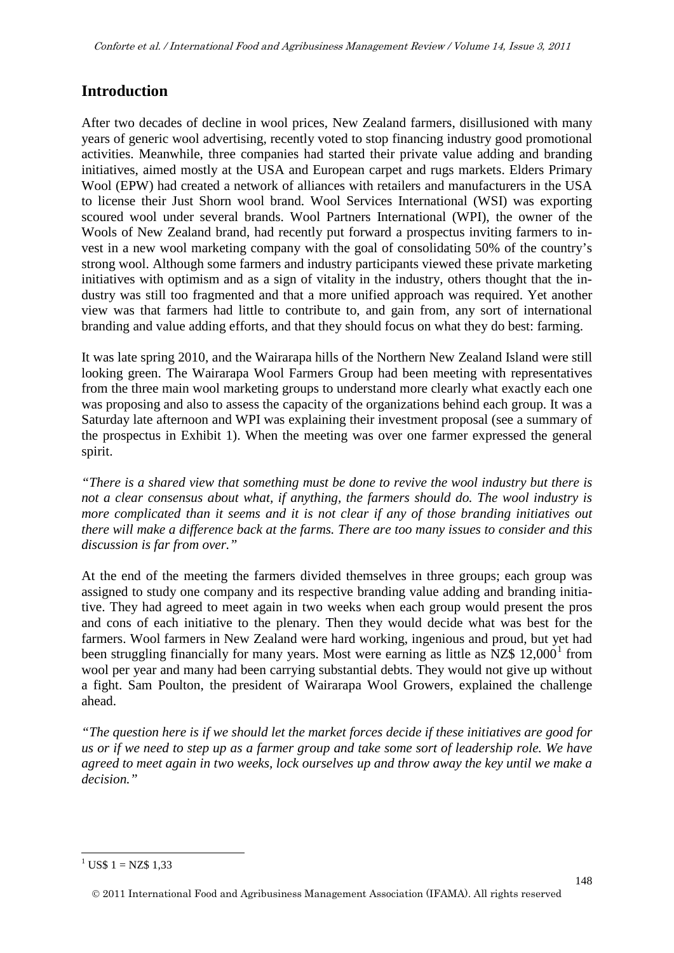# **Introduction**

After two decades of decline in wool prices, New Zealand farmers, disillusioned with many years of generic wool advertising, recently voted to stop financing industry good promotional activities. Meanwhile, three companies had started their private value adding and branding initiatives, aimed mostly at the USA and European carpet and rugs markets. Elders Primary Wool (EPW) had created a network of alliances with retailers and manufacturers in the USA to license their Just Shorn wool brand. Wool Services International (WSI) was exporting scoured wool under several brands. Wool Partners International (WPI), the owner of the Wools of New Zealand brand, had recently put forward a prospectus inviting farmers to invest in a new wool marketing company with the goal of consolidating 50% of the country's strong wool. Although some farmers and industry participants viewed these private marketing initiatives with optimism and as a sign of vitality in the industry, others thought that the industry was still too fragmented and that a more unified approach was required. Yet another view was that farmers had little to contribute to, and gain from, any sort of international branding and value adding efforts, and that they should focus on what they do best: farming.

It was late spring 2010, and the Wairarapa hills of the Northern New Zealand Island were still looking green. The Wairarapa Wool Farmers Group had been meeting with representatives from the three main wool marketing groups to understand more clearly what exactly each one was proposing and also to assess the capacity of the organizations behind each group. It was a Saturday late afternoon and WPI was explaining their investment proposal (see a summary of the prospectus in Exhibit 1). When the meeting was over one farmer expressed the general spirit.

*"There is a shared view that something must be done to revive the wool industry but there is not a clear consensus about what, if anything, the farmers should do. The wool industry is more complicated than it seems and it is not clear if any of those branding initiatives out there will make a difference back at the farms. There are too many issues to consider and this discussion is far from over."*

At the end of the meeting the farmers divided themselves in three groups; each group was assigned to study one company and its respective branding value adding and branding initiative. They had agreed to meet again in two weeks when each group would present the pros and cons of each initiative to the plenary. Then they would decide what was best for the farmers. Wool farmers in New Zealand were hard working, ingenious and proud, but yet had been struggling financially for many years. Most were earning as little as  $NZ\$  [1](#page-0-0)2,000<sup>1</sup> from wool per year and many had been carrying substantial debts. They would not give up without a fight. Sam Poulton, the president of Wairarapa Wool Growers, explained the challenge ahead.

*"The question here is if we should let the market forces decide if these initiatives are good for us or if we need to step up as a farmer group and take some sort of leadership role. We have agreed to meet again in two weeks, lock ourselves up and throw away the key until we make a decision."*

<span id="page-1-0"></span> $1 \text{ USS } 1 = \text{NZ} \$  1.33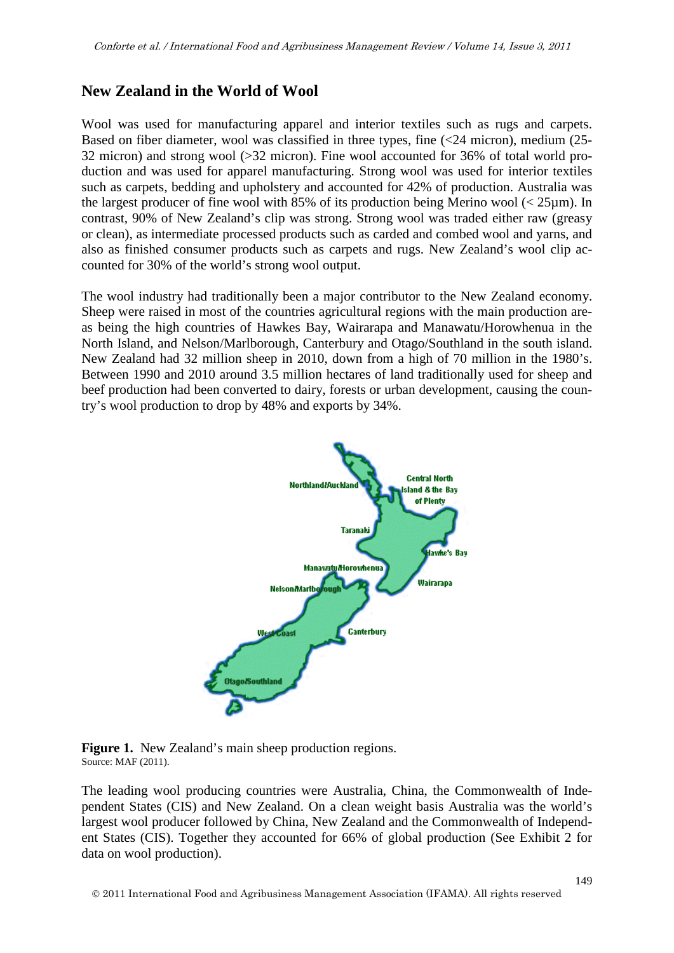# **New Zealand in the World of Wool**

Wool was used for manufacturing apparel and interior textiles such as rugs and carpets. Based on fiber diameter, wool was classified in three types, fine (<24 micron), medium (25- 32 micron) and strong wool (>32 micron). Fine wool accounted for 36% of total world production and was used for apparel manufacturing. Strong wool was used for interior textiles such as carpets, bedding and upholstery and accounted for 42% of production. Australia was the largest producer of fine wool with 85% of its production being Merino wool  $\langle$  25 $\mu$ m). In contrast, 90% of New Zealand's clip was strong. Strong wool was traded either raw (greasy or clean), as intermediate processed products such as carded and combed wool and yarns, and also as finished consumer products such as carpets and rugs. New Zealand's wool clip accounted for 30% of the world's strong wool output.

The wool industry had traditionally been a major contributor to the New Zealand economy. Sheep were raised in most of the countries agricultural regions with the main production areas being the high countries of Hawkes Bay, Wairarapa and Manawatu/Horowhenua in the North Island, and Nelson/Marlborough, Canterbury and Otago/Southland in the south island. New Zealand had 32 million sheep in 2010, down from a high of 70 million in the 1980's. Between 1990 and 2010 around 3.5 million hectares of land traditionally used for sheep and beef production had been converted to dairy, forests or urban development, causing the country's wool production to drop by 48% and exports by 34%.





The leading wool producing countries were Australia, China, the Commonwealth of Independent States (CIS) and New Zealand. On a clean weight basis Australia was the world's largest wool producer followed by China, New Zealand and the Commonwealth of Independent States (CIS). Together they accounted for 66% of global production (See Exhibit 2 for data on wool production).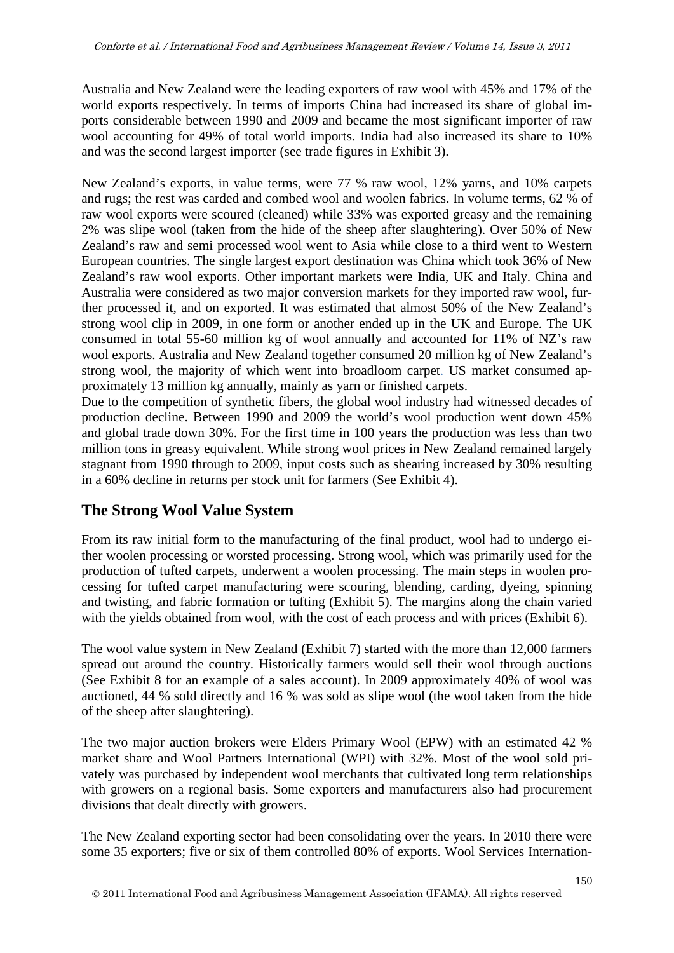Australia and New Zealand were the leading exporters of raw wool with 45% and 17% of the world exports respectively. In terms of imports China had increased its share of global imports considerable between 1990 and 2009 and became the most significant importer of raw wool accounting for 49% of total world imports. India had also increased its share to 10% and was the second largest importer (see trade figures in Exhibit 3).

New Zealand's exports, in value terms, were 77 % raw wool, 12% yarns, and 10% carpets and rugs; the rest was carded and combed wool and woolen fabrics. In volume terms, 62 % of raw wool exports were scoured (cleaned) while 33% was exported greasy and the remaining 2% was slipe wool (taken from the hide of the sheep after slaughtering). Over 50% of New Zealand's raw and semi processed wool went to Asia while close to a third went to Western European countries. The single largest export destination was China which took 36% of New Zealand's raw wool exports. Other important markets were India, UK and Italy. China and Australia were considered as two major conversion markets for they imported raw wool, further processed it, and on exported. It was estimated that almost 50% of the New Zealand's strong wool clip in 2009, in one form or another ended up in the UK and Europe. The UK consumed in total 55-60 million kg of wool annually and accounted for 11% of NZ's raw wool exports. Australia and New Zealand together consumed 20 million kg of New Zealand's strong wool, the majority of which went into broadloom carpet. US market consumed approximately 13 million kg annually, mainly as yarn or finished carpets.

Due to the competition of synthetic fibers, the global wool industry had witnessed decades of production decline. Between 1990 and 2009 the world's wool production went down 45% and global trade down 30%. For the first time in 100 years the production was less than two million tons in greasy equivalent. While strong wool prices in New Zealand remained largely stagnant from 1990 through to 2009, input costs such as shearing increased by 30% resulting in a 60% decline in returns per stock unit for farmers (See Exhibit 4).

# **The Strong Wool Value System**

From its raw initial form to the manufacturing of the final product, wool had to undergo either woolen processing or worsted processing. Strong wool, which was primarily used for the production of tufted carpets, underwent a woolen processing. The main steps in woolen processing for tufted carpet manufacturing were scouring, blending, carding, dyeing, spinning and twisting, and fabric formation or tufting (Exhibit 5). The margins along the chain varied with the yields obtained from wool, with the cost of each process and with prices (Exhibit 6).

The wool value system in New Zealand (Exhibit 7) started with the more than 12,000 farmers spread out around the country. Historically farmers would sell their wool through auctions (See Exhibit 8 for an example of a sales account). In 2009 approximately 40% of wool was auctioned, 44 % sold directly and 16 % was sold as slipe wool (the wool taken from the hide of the sheep after slaughtering).

The two major auction brokers were Elders Primary Wool (EPW) with an estimated 42 % market share and Wool Partners International (WPI) with 32%. Most of the wool sold privately was purchased by independent wool merchants that cultivated long term relationships with growers on a regional basis. Some exporters and manufacturers also had procurement divisions that dealt directly with growers.

The New Zealand exporting sector had been consolidating over the years. In 2010 there were some 35 exporters; five or six of them controlled 80% of exports. Wool Services Internation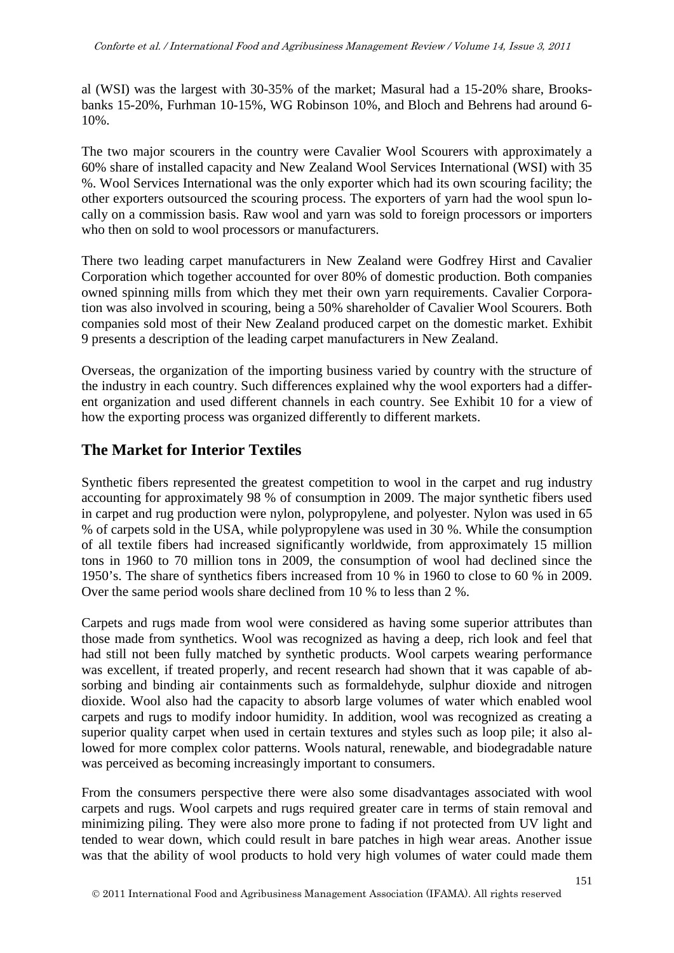al (WSI) was the largest with 30-35% of the market; Masural had a 15-20% share, Brooksbanks 15-20%, Furhman 10-15%, WG Robinson 10%, and Bloch and Behrens had around 6- 10%.

The two major scourers in the country were Cavalier Wool Scourers with approximately a 60% share of installed capacity and New Zealand Wool Services International (WSI) with 35 %. Wool Services International was the only exporter which had its own scouring facility; the other exporters outsourced the scouring process. The exporters of yarn had the wool spun locally on a commission basis. Raw wool and yarn was sold to foreign processors or importers who then on sold to wool processors or manufacturers.

There two leading carpet manufacturers in New Zealand were Godfrey Hirst and Cavalier Corporation which together accounted for over 80% of domestic production. Both companies owned spinning mills from which they met their own yarn requirements. Cavalier Corporation was also involved in scouring, being a 50% shareholder of Cavalier Wool Scourers. Both companies sold most of their New Zealand produced carpet on the domestic market. Exhibit 9 presents a description of the leading carpet manufacturers in New Zealand.

Overseas, the organization of the importing business varied by country with the structure of the industry in each country. Such differences explained why the wool exporters had a different organization and used different channels in each country. See Exhibit 10 for a view of how the exporting process was organized differently to different markets.

# **The Market for Interior Textiles**

Synthetic fibers represented the greatest competition to wool in the carpet and rug industry accounting for approximately 98 % of consumption in 2009. The major synthetic fibers used in carpet and rug production were nylon, polypropylene, and polyester. Nylon was used in 65 % of carpets sold in the USA, while polypropylene was used in 30 %. While the consumption of all textile fibers had increased significantly worldwide, from approximately 15 million tons in 1960 to 70 million tons in 2009, the consumption of wool had declined since the 1950's. The share of synthetics fibers increased from 10 % in 1960 to close to 60 % in 2009. Over the same period wools share declined from 10 % to less than 2 %.

Carpets and rugs made from wool were considered as having some superior attributes than those made from synthetics. Wool was recognized as having a deep, rich look and feel that had still not been fully matched by synthetic products. Wool carpets wearing performance was excellent, if treated properly, and recent research had shown that it was capable of absorbing and binding air containments such as formaldehyde, sulphur dioxide and nitrogen dioxide. Wool also had the capacity to absorb large volumes of water which enabled wool carpets and rugs to modify indoor humidity. In addition, wool was recognized as creating a superior quality carpet when used in certain textures and styles such as loop pile; it also allowed for more complex color patterns. Wools natural, renewable, and biodegradable nature was perceived as becoming increasingly important to consumers.

From the consumers perspective there were also some disadvantages associated with wool carpets and rugs. Wool carpets and rugs required greater care in terms of stain removal and minimizing piling. They were also more prone to fading if not protected from UV light and tended to wear down, which could result in bare patches in high wear areas. Another issue was that the ability of wool products to hold very high volumes of water could made them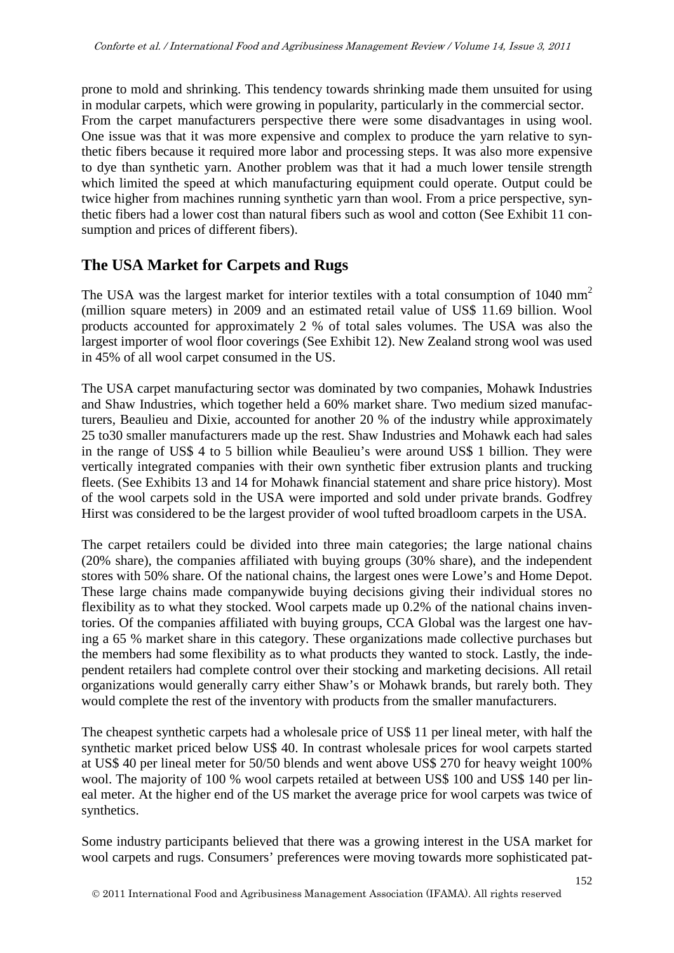prone to mold and shrinking. This tendency towards shrinking made them unsuited for using in modular carpets, which were growing in popularity, particularly in the commercial sector. From the carpet manufacturers perspective there were some disadvantages in using wool. One issue was that it was more expensive and complex to produce the yarn relative to synthetic fibers because it required more labor and processing steps. It was also more expensive to dye than synthetic yarn. Another problem was that it had a much lower tensile strength which limited the speed at which manufacturing equipment could operate. Output could be twice higher from machines running synthetic yarn than wool. From a price perspective, synthetic fibers had a lower cost than natural fibers such as wool and cotton (See Exhibit 11 consumption and prices of different fibers).

# **The USA Market for Carpets and Rugs**

The USA was the largest market for interior textiles with a total consumption of  $1040 \text{ mm}^2$ (million square meters) in 2009 and an estimated retail value of US\$ 11.69 billion. Wool products accounted for approximately 2 % of total sales volumes. The USA was also the largest importer of wool floor coverings (See Exhibit 12). New Zealand strong wool was used in 45% of all wool carpet consumed in the US.

The USA carpet manufacturing sector was dominated by two companies, Mohawk Industries and Shaw Industries, which together held a 60% market share. Two medium sized manufacturers, Beaulieu and Dixie, accounted for another 20 % of the industry while approximately 25 to30 smaller manufacturers made up the rest. Shaw Industries and Mohawk each had sales in the range of US\$ 4 to 5 billion while Beaulieu's were around US\$ 1 billion. They were vertically integrated companies with their own synthetic fiber extrusion plants and trucking fleets. (See Exhibits 13 and 14 for Mohawk financial statement and share price history). Most of the wool carpets sold in the USA were imported and sold under private brands. Godfrey Hirst was considered to be the largest provider of wool tufted broadloom carpets in the USA.

The carpet retailers could be divided into three main categories; the large national chains (20% share), the companies affiliated with buying groups (30% share), and the independent stores with 50% share. Of the national chains, the largest ones were Lowe's and Home Depot. These large chains made companywide buying decisions giving their individual stores no flexibility as to what they stocked. Wool carpets made up 0.2% of the national chains inventories. Of the companies affiliated with buying groups, CCA Global was the largest one having a 65 % market share in this category. These organizations made collective purchases but the members had some flexibility as to what products they wanted to stock. Lastly, the independent retailers had complete control over their stocking and marketing decisions. All retail organizations would generally carry either Shaw's or Mohawk brands, but rarely both. They would complete the rest of the inventory with products from the smaller manufacturers.

The cheapest synthetic carpets had a wholesale price of US\$ 11 per lineal meter, with half the synthetic market priced below US\$ 40. In contrast wholesale prices for wool carpets started at US\$ 40 per lineal meter for 50/50 blends and went above US\$ 270 for heavy weight 100% wool. The majority of 100 % wool carpets retailed at between US\$ 100 and US\$ 140 per lineal meter. At the higher end of the US market the average price for wool carpets was twice of synthetics.

Some industry participants believed that there was a growing interest in the USA market for wool carpets and rugs. Consumers' preferences were moving towards more sophisticated pat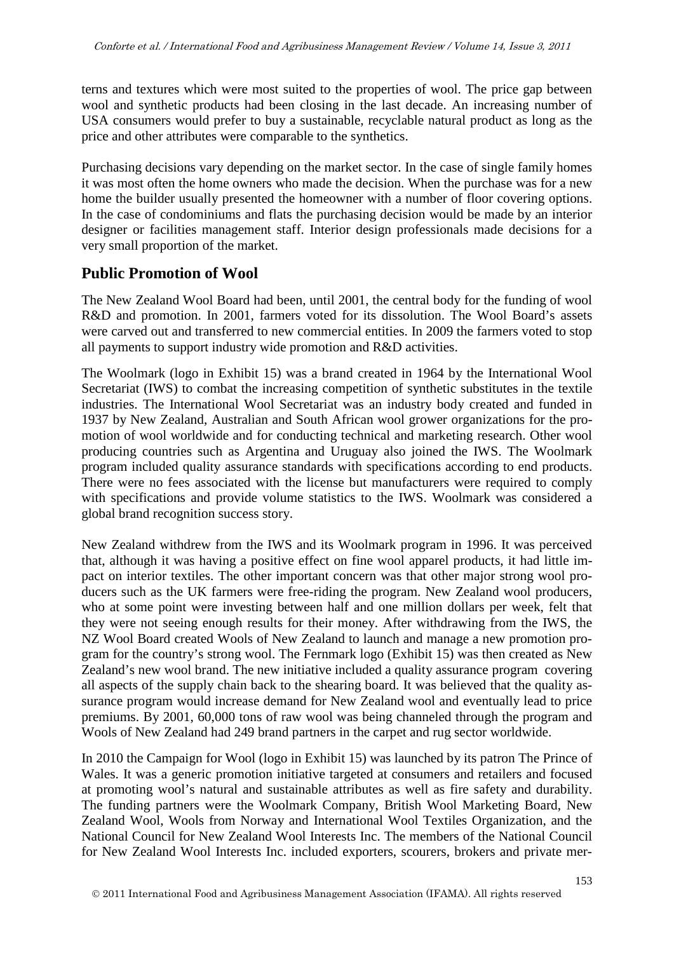terns and textures which were most suited to the properties of wool. The price gap between wool and synthetic products had been closing in the last decade. An increasing number of USA consumers would prefer to buy a sustainable, recyclable natural product as long as the price and other attributes were comparable to the synthetics.

Purchasing decisions vary depending on the market sector. In the case of single family homes it was most often the home owners who made the decision. When the purchase was for a new home the builder usually presented the homeowner with a number of floor covering options. In the case of condominiums and flats the purchasing decision would be made by an interior designer or facilities management staff. Interior design professionals made decisions for a very small proportion of the market.

# **Public Promotion of Wool**

The New Zealand Wool Board had been, until 2001, the central body for the funding of wool R&D and promotion. In 2001, farmers voted for its dissolution. The Wool Board's assets were carved out and transferred to new commercial entities. In 2009 the farmers voted to stop all payments to support industry wide promotion and R&D activities.

The Woolmark (logo in Exhibit 15) was a brand created in 1964 by the International Wool Secretariat (IWS) to combat the increasing competition of synthetic substitutes in the textile industries. The International Wool Secretariat was an industry body created and funded in 1937 by New Zealand, Australian and South African wool grower organizations for the promotion of wool worldwide and for conducting technical and marketing research. Other wool producing countries such as Argentina and Uruguay also joined the IWS. The Woolmark program included quality assurance standards with specifications according to end products. There were no fees associated with the license but manufacturers were required to comply with specifications and provide volume statistics to the IWS. Woolmark was considered a global brand recognition success story.

New Zealand withdrew from the IWS and its Woolmark program in 1996. It was perceived that, although it was having a positive effect on fine wool apparel products, it had little impact on interior textiles. The other important concern was that other major strong wool producers such as the UK farmers were free-riding the program. New Zealand wool producers, who at some point were investing between half and one million dollars per week, felt that they were not seeing enough results for their money. After withdrawing from the IWS, the NZ Wool Board created Wools of New Zealand to launch and manage a new promotion program for the country's strong wool. The Fernmark logo (Exhibit 15) was then created as New Zealand's new wool brand. The new initiative included a quality assurance program covering all aspects of the supply chain back to the shearing board. It was believed that the quality assurance program would increase demand for New Zealand wool and eventually lead to price premiums. By 2001, 60,000 tons of raw wool was being channeled through the program and Wools of New Zealand had 249 brand partners in the carpet and rug sector worldwide.

In 2010 the Campaign for Wool (logo in Exhibit 15) was launched by its patron The Prince of Wales. It was a generic promotion initiative targeted at consumers and retailers and focused at promoting wool's natural and sustainable attributes as well as fire safety and durability. The funding partners were the Woolmark Company, British Wool Marketing Board, New Zealand Wool, Wools from Norway and International Wool Textiles Organization, and the National Council for New Zealand Wool Interests Inc. The members of the National Council for New Zealand Wool Interests Inc. included exporters, scourers, brokers and private mer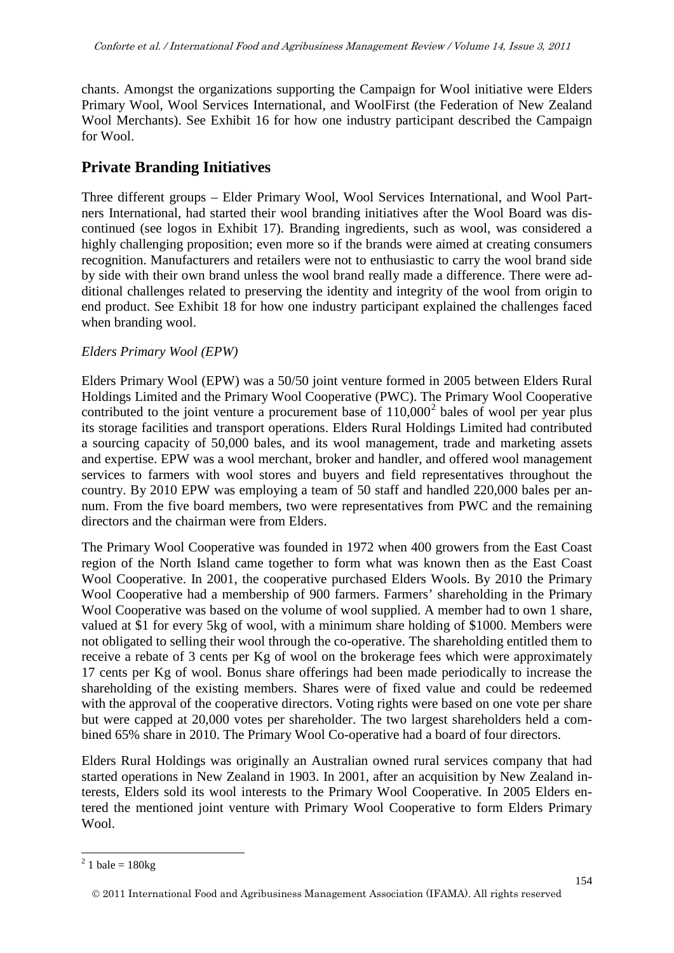chants. Amongst the organizations supporting the Campaign for Wool initiative were Elders Primary Wool, Wool Services International, and WoolFirst (the Federation of New Zealand Wool Merchants). See Exhibit 16 for how one industry participant described the Campaign for Wool.

# **Private Branding Initiatives**

Three different groups – Elder Primary Wool, Wool Services International, and Wool Partners International, had started their wool branding initiatives after the Wool Board was discontinued (see logos in Exhibit 17). Branding ingredients, such as wool, was considered a highly challenging proposition; even more so if the brands were aimed at creating consumers recognition. Manufacturers and retailers were not to enthusiastic to carry the wool brand side by side with their own brand unless the wool brand really made a difference. There were additional challenges related to preserving the identity and integrity of the wool from origin to end product. See Exhibit 18 for how one industry participant explained the challenges faced when branding wool.

### *Elders Primary Wool (EPW)*

Elders Primary Wool (EPW) was a 50/50 joint venture formed in 2005 between Elders Rural Holdings Limited and the Primary Wool Cooperative (PWC). The Primary Wool Cooperative contributed to the joint venture a procurement base of  $110,000^2$  $110,000^2$  bales of wool per year plus its storage facilities and transport operations. Elders Rural Holdings Limited had contributed a sourcing capacity of 50,000 bales, and its wool management, trade and marketing assets and expertise. EPW was a wool merchant, broker and handler, and offered wool management services to farmers with wool stores and buyers and field representatives throughout the country. By 2010 EPW was employing a team of 50 staff and handled 220,000 bales per annum. From the five board members, two were representatives from PWC and the remaining directors and the chairman were from Elders.

The Primary Wool Cooperative was founded in 1972 when 400 growers from the East Coast region of the North Island came together to form what was known then as the East Coast Wool Cooperative. In 2001, the cooperative purchased Elders Wools. By 2010 the Primary Wool Cooperative had a membership of 900 farmers. Farmers' shareholding in the Primary Wool Cooperative was based on the volume of wool supplied. A member had to own 1 share, valued at \$1 for every 5kg of wool, with a minimum share holding of \$1000. Members were not obligated to selling their wool through the co-operative. The shareholding entitled them to receive a rebate of 3 cents per Kg of wool on the brokerage fees which were approximately 17 cents per Kg of wool. Bonus share offerings had been made periodically to increase the shareholding of the existing members. Shares were of fixed value and could be redeemed with the approval of the cooperative directors. Voting rights were based on one vote per share but were capped at 20,000 votes per shareholder. The two largest shareholders held a combined 65% share in 2010. The Primary Wool Co-operative had a board of four directors.

Elders Rural Holdings was originally an Australian owned rural services company that had started operations in New Zealand in 1903. In 2001, after an acquisition by New Zealand interests, Elders sold its wool interests to the Primary Wool Cooperative. In 2005 Elders entered the mentioned joint venture with Primary Wool Cooperative to form Elders Primary Wool.

 $^{2}$  1 bale = 180kg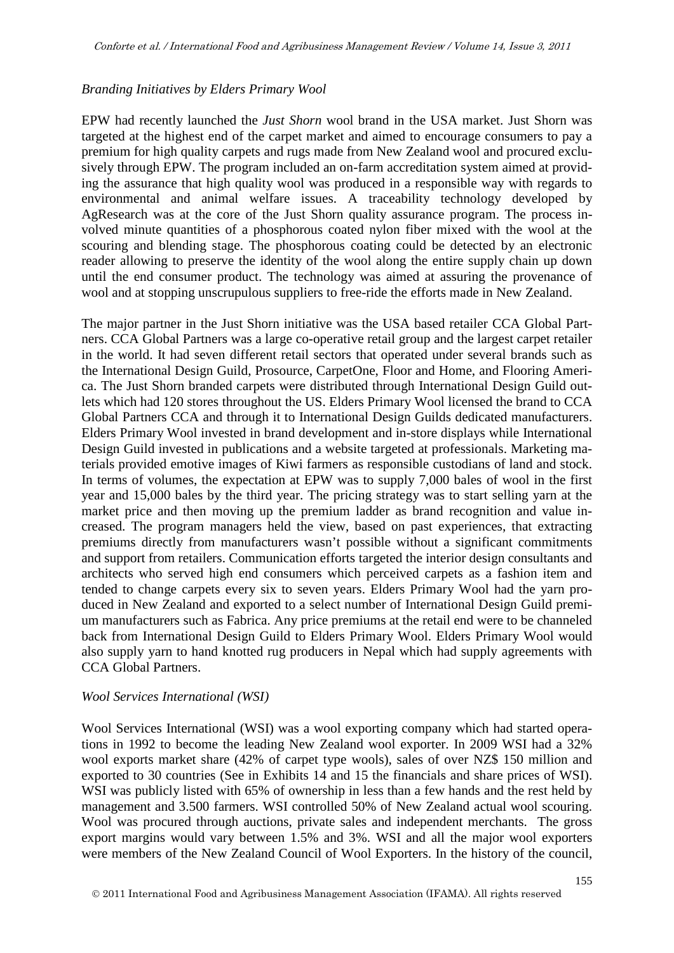#### *Branding Initiatives by Elders Primary Wool*

EPW had recently launched the *Just Shorn* wool brand in the USA market. Just Shorn was targeted at the highest end of the carpet market and aimed to encourage consumers to pay a premium for high quality carpets and rugs made from New Zealand wool and procured exclusively through EPW. The program included an on-farm accreditation system aimed at providing the assurance that high quality wool was produced in a responsible way with regards to environmental and animal welfare issues. A traceability technology developed by AgResearch was at the core of the Just Shorn quality assurance program. The process involved minute quantities of a phosphorous coated nylon fiber mixed with the wool at the scouring and blending stage. The phosphorous coating could be detected by an electronic reader allowing to preserve the identity of the wool along the entire supply chain up down until the end consumer product. The technology was aimed at assuring the provenance of wool and at stopping unscrupulous suppliers to free-ride the efforts made in New Zealand.

The major partner in the Just Shorn initiative was the USA based retailer CCA Global Partners. CCA Global Partners was a large co-operative retail group and the largest carpet retailer in the world. It had seven different retail sectors that operated under several brands such as the International Design Guild, Prosource, CarpetOne, Floor and Home, and Flooring America. The Just Shorn branded carpets were distributed through International Design Guild outlets which had 120 stores throughout the US. Elders Primary Wool licensed the brand to CCA Global Partners CCA and through it to International Design Guilds dedicated manufacturers. Elders Primary Wool invested in brand development and in-store displays while International Design Guild invested in publications and a website targeted at professionals. Marketing materials provided emotive images of Kiwi farmers as responsible custodians of land and stock. In terms of volumes, the expectation at EPW was to supply 7,000 bales of wool in the first year and 15,000 bales by the third year. The pricing strategy was to start selling yarn at the market price and then moving up the premium ladder as brand recognition and value increased. The program managers held the view, based on past experiences, that extracting premiums directly from manufacturers wasn't possible without a significant commitments and support from retailers. Communication efforts targeted the interior design consultants and architects who served high end consumers which perceived carpets as a fashion item and tended to change carpets every six to seven years. Elders Primary Wool had the yarn produced in New Zealand and exported to a select number of International Design Guild premium manufacturers such as Fabrica. Any price premiums at the retail end were to be channeled back from International Design Guild to Elders Primary Wool. Elders Primary Wool would also supply yarn to hand knotted rug producers in Nepal which had supply agreements with CCA Global Partners.

#### *Wool Services International (WSI)*

Wool Services International (WSI) was a wool exporting company which had started operations in 1992 to become the leading New Zealand wool exporter. In 2009 WSI had a 32% wool exports market share (42% of carpet type wools), sales of over NZ\$ 150 million and exported to 30 countries (See in Exhibits 14 and 15 the financials and share prices of WSI). WSI was publicly listed with 65% of ownership in less than a few hands and the rest held by management and 3.500 farmers. WSI controlled 50% of New Zealand actual wool scouring. Wool was procured through auctions, private sales and independent merchants. The gross export margins would vary between 1.5% and 3%. WSI and all the major wool exporters were members of the New Zealand Council of Wool Exporters. In the history of the council,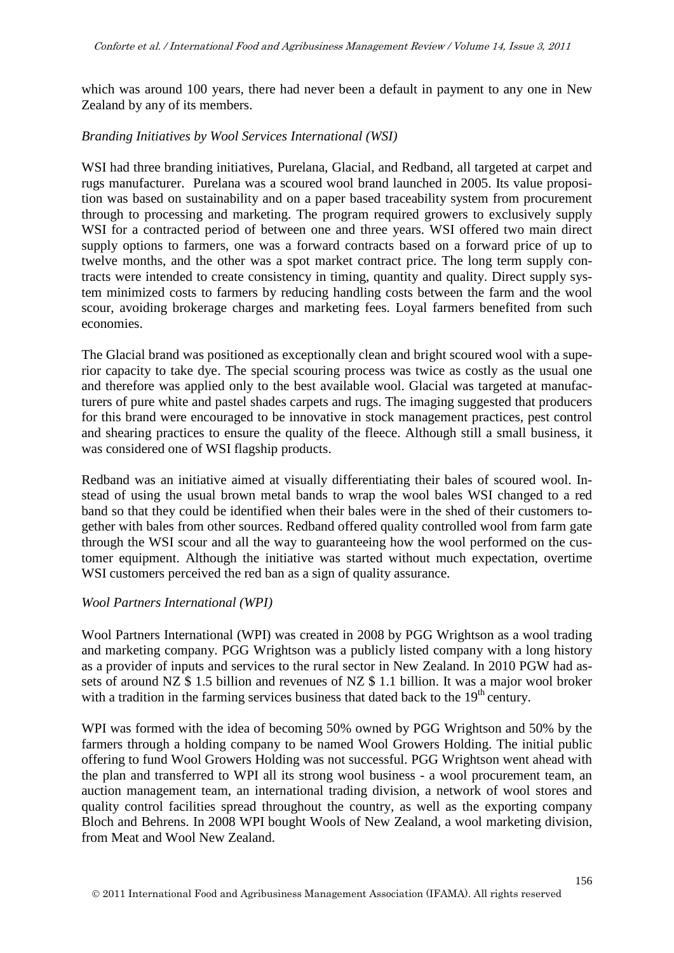which was around 100 years, there had never been a default in payment to any one in New Zealand by any of its members.

#### *Branding Initiatives by Wool Services International (WSI)*

WSI had three branding initiatives, Purelana, Glacial, and Redband, all targeted at carpet and rugs manufacturer. Purelana was a scoured wool brand launched in 2005. Its value proposition was based on sustainability and on a paper based traceability system from procurement through to processing and marketing. The program required growers to exclusively supply WSI for a contracted period of between one and three years. WSI offered two main direct supply options to farmers, one was a forward contracts based on a forward price of up to twelve months, and the other was a spot market contract price. The long term supply contracts were intended to create consistency in timing, quantity and quality. Direct supply system minimized costs to farmers by reducing handling costs between the farm and the wool scour, avoiding brokerage charges and marketing fees. Loyal farmers benefited from such economies.

The Glacial brand was positioned as exceptionally clean and bright scoured wool with a superior capacity to take dye. The special scouring process was twice as costly as the usual one and therefore was applied only to the best available wool. Glacial was targeted at manufacturers of pure white and pastel shades carpets and rugs. The imaging suggested that producers for this brand were encouraged to be innovative in stock management practices, pest control and shearing practices to ensure the quality of the fleece. Although still a small business, it was considered one of WSI flagship products.

Redband was an initiative aimed at visually differentiating their bales of scoured wool. Instead of using the usual brown metal bands to wrap the wool bales WSI changed to a red band so that they could be identified when their bales were in the shed of their customers together with bales from other sources. Redband offered quality controlled wool from farm gate through the WSI scour and all the way to guaranteeing how the wool performed on the customer equipment. Although the initiative was started without much expectation, overtime WSI customers perceived the red ban as a sign of quality assurance.

#### *Wool Partners International (WPI)*

Wool Partners International (WPI) was created in 2008 by PGG Wrightson as a wool trading and marketing company. PGG Wrightson was a publicly listed company with a long history as a provider of inputs and services to the rural sector in New Zealand. In 2010 PGW had assets of around NZ \$ 1.5 billion and revenues of NZ \$ 1.1 billion. It was a major wool broker with a tradition in the farming services business that dated back to the  $19<sup>th</sup>$  century.

WPI was formed with the idea of becoming 50% owned by PGG Wrightson and 50% by the farmers through a holding company to be named Wool Growers Holding. The initial public offering to fund Wool Growers Holding was not successful. PGG Wrightson went ahead with the plan and transferred to WPI all its strong wool business - a wool procurement team, an auction management team, an international trading division, a network of wool stores and quality control facilities spread throughout the country, as well as the exporting company Bloch and Behrens. In 2008 WPI bought Wools of New Zealand, a wool marketing division, from Meat and Wool New Zealand.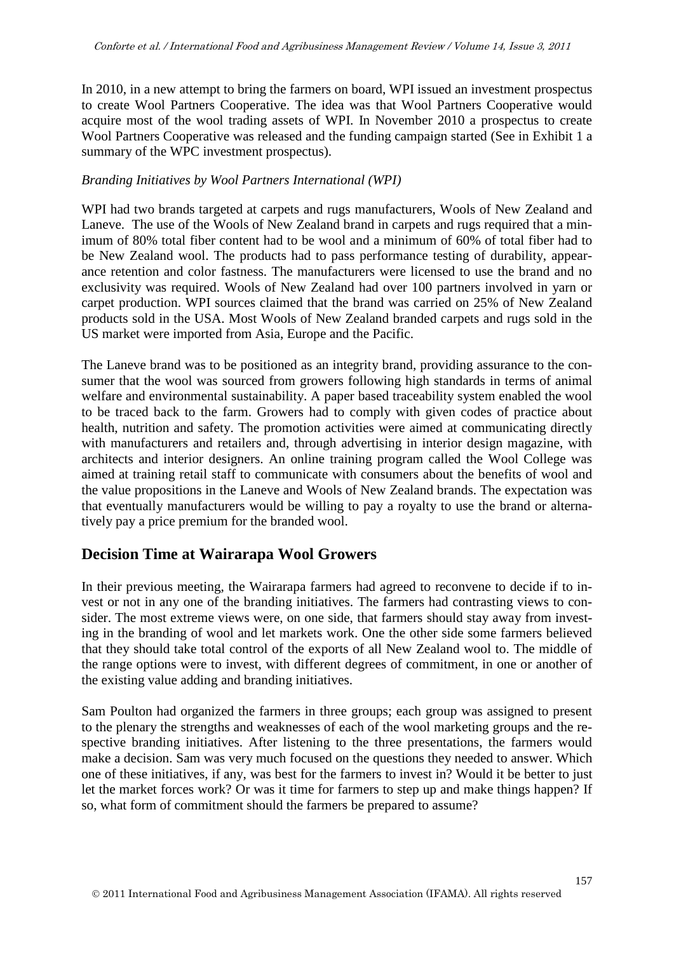In 2010, in a new attempt to bring the farmers on board, WPI issued an investment prospectus to create Wool Partners Cooperative. The idea was that Wool Partners Cooperative would acquire most of the wool trading assets of WPI. In November 2010 a prospectus to create Wool Partners Cooperative was released and the funding campaign started (See in Exhibit 1 a summary of the WPC investment prospectus).

### *Branding Initiatives by Wool Partners International (WPI)*

WPI had two brands targeted at carpets and rugs manufacturers, Wools of New Zealand and Laneve. The use of the Wools of New Zealand brand in carpets and rugs required that a minimum of 80% total fiber content had to be wool and a minimum of 60% of total fiber had to be New Zealand wool. The products had to pass performance testing of durability, appearance retention and color fastness. The manufacturers were licensed to use the brand and no exclusivity was required. Wools of New Zealand had over 100 partners involved in yarn or carpet production. WPI sources claimed that the brand was carried on 25% of New Zealand products sold in the USA. Most Wools of New Zealand branded carpets and rugs sold in the US market were imported from Asia, Europe and the Pacific.

The Laneve brand was to be positioned as an integrity brand, providing assurance to the consumer that the wool was sourced from growers following high standards in terms of animal welfare and environmental sustainability. A paper based traceability system enabled the wool to be traced back to the farm. Growers had to comply with given codes of practice about health, nutrition and safety. The promotion activities were aimed at communicating directly with manufacturers and retailers and, through advertising in interior design magazine, with architects and interior designers. An online training program called the Wool College was aimed at training retail staff to communicate with consumers about the benefits of wool and the value propositions in the Laneve and Wools of New Zealand brands. The expectation was that eventually manufacturers would be willing to pay a royalty to use the brand or alternatively pay a price premium for the branded wool.

### **Decision Time at Wairarapa Wool Growers**

In their previous meeting, the Wairarapa farmers had agreed to reconvene to decide if to invest or not in any one of the branding initiatives. The farmers had contrasting views to consider. The most extreme views were, on one side, that farmers should stay away from investing in the branding of wool and let markets work. One the other side some farmers believed that they should take total control of the exports of all New Zealand wool to. The middle of the range options were to invest, with different degrees of commitment, in one or another of the existing value adding and branding initiatives.

Sam Poulton had organized the farmers in three groups; each group was assigned to present to the plenary the strengths and weaknesses of each of the wool marketing groups and the respective branding initiatives. After listening to the three presentations, the farmers would make a decision. Sam was very much focused on the questions they needed to answer. Which one of these initiatives, if any, was best for the farmers to invest in? Would it be better to just let the market forces work? Or was it time for farmers to step up and make things happen? If so, what form of commitment should the farmers be prepared to assume?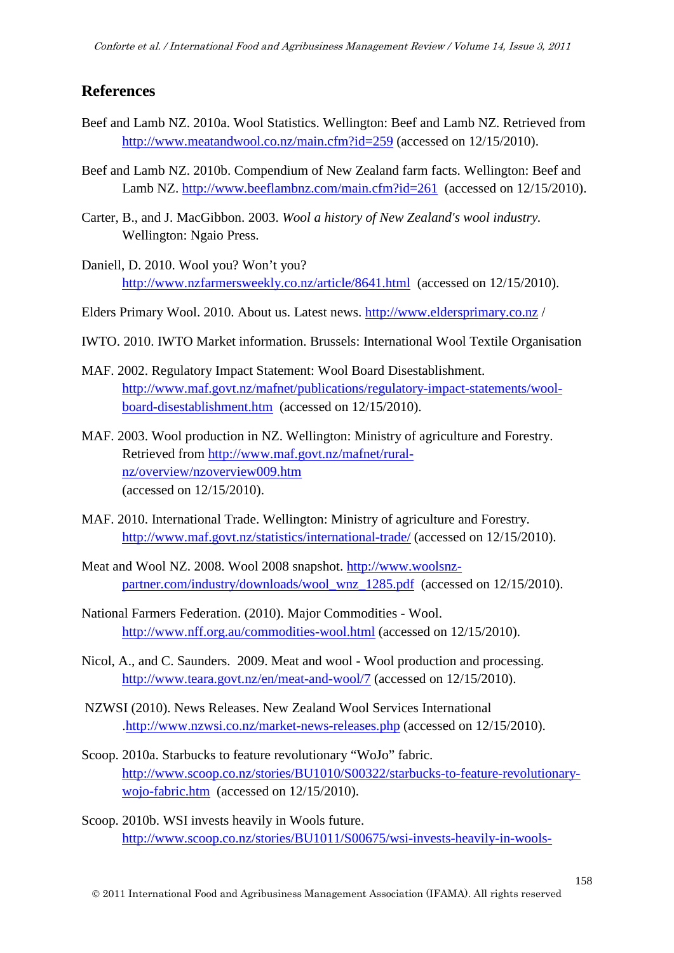### **References**

- Beef and Lamb NZ. 2010a. Wool Statistics. Wellington: Beef and Lamb NZ. Retrieved from <http://www.meatandwool.co.nz/main.cfm?id=259> (accessed on 12/15/2010).
- Beef and Lamb NZ. 2010b. Compendium of New Zealand farm facts. Wellington: Beef and Lamb NZ.<http://www.beeflambnz.com/main.cfm?id=261> (accessed on 12/15/2010).
- Carter, B., and J. MacGibbon. 2003. *Wool a history of New Zealand's wool industry.* Wellington: Ngaio Press.
- Daniell, D. 2010. Wool you? Won't you? <http://www.nzfarmersweekly.co.nz/article/8641.html>(accessed on 12/15/2010).
- Elders Primary Wool. 2010. About us. Latest news. [http://www.eldersprimary.co.nz](http://www.eldersprimary.co.nz/) /
- IWTO. 2010. IWTO Market information. Brussels: International Wool Textile Organisation
- MAF. 2002. Regulatory Impact Statement: Wool Board Disestablishment. [http://www.maf.govt.nz/mafnet/publications/regulatory-impact-statements/wool](http://www.maf.govt.nz/mafnet/publications/regulatory-impact-statements/wool-board-disestablishment.htm)[board-disestablishment.htm](http://www.maf.govt.nz/mafnet/publications/regulatory-impact-statements/wool-board-disestablishment.htm) (accessed on 12/15/2010).
- MAF. 2003. Wool production in NZ. Wellington: Ministry of agriculture and Forestry. Retrieved from [http://www.maf.govt.nz/mafnet/rural](http://www.maf.govt.nz/mafnet/rural-nz/overview/nzoverview009.htm)[nz/overview/nzoverview009.htm](http://www.maf.govt.nz/mafnet/rural-nz/overview/nzoverview009.htm) (accessed on 12/15/2010).
- MAF. 2010. International Trade. Wellington: Ministry of agriculture and Forestry. <http://www.maf.govt.nz/statistics/international-trade/> (accessed on 12/15/2010).
- Meat and Wool NZ. 2008. Wool 2008 snapshot. [http://www.woolsnz](http://www.woolsnz-partner.com/industry/downloads/wool_wnz_1285.pdf)[partner.com/industry/downloads/wool\\_wnz\\_1285.pdf](http://www.woolsnz-partner.com/industry/downloads/wool_wnz_1285.pdf) (accessed on 12/15/2010).
- National Farmers Federation. (2010). Major Commodities Wool. <http://www.nff.org.au/commodities-wool.html> (accessed on 12/15/2010).
- Nicol, A., and C. Saunders. 2009. Meat and wool Wool production and processing. <http://www.teara.govt.nz/en/meat-and-wool/7> (accessed on 12/15/2010).
- NZWSI (2010). News Releases. New Zealand Wool Services International [.http://www.nzwsi.co.nz/market-news-releases.php](http://www.nzwsi.co.nz/market-news-releases.php) (accessed on 12/15/2010).
- Scoop. 2010a. Starbucks to feature revolutionary "WoJo" fabric. [http://www.scoop.co.nz/stories/BU1010/S00322/starbucks-to-feature-revolutionary](http://www.scoop.co.nz/stories/BU1010/S00322/starbucks-to-feature-revolutionary-wojo-fabric.htm)[wojo-fabric.htm](http://www.scoop.co.nz/stories/BU1010/S00322/starbucks-to-feature-revolutionary-wojo-fabric.htm) (accessed on 12/15/2010).
- Scoop. 2010b. WSI invests heavily in Wools future. [http://www.scoop.co.nz/stories/BU1011/S00675/wsi-invests-heavily-in-wools-](http://www.scoop.co.nz/stories/BU1011/S00675/wsi-invests-heavily-in-wools-future.htm)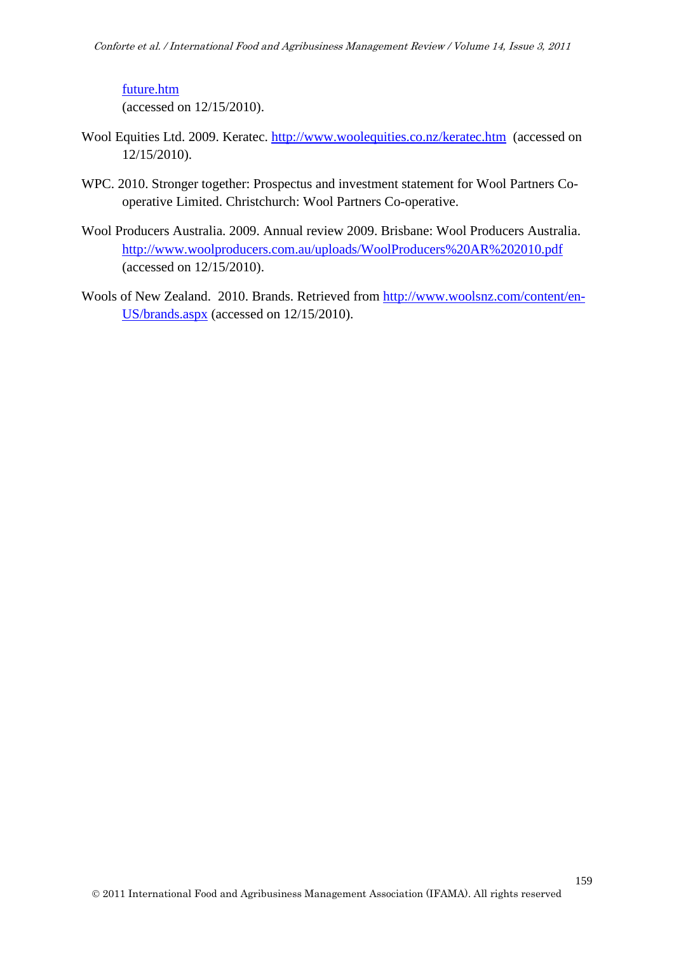#### [future.htm](http://www.scoop.co.nz/stories/BU1011/S00675/wsi-invests-heavily-in-wools-future.htm)

(accessed on 12/15/2010).

- Wool Equities Ltd. 2009. Keratec.<http://www.woolequities.co.nz/keratec.htm>(accessed on 12/15/2010).
- WPC. 2010. Stronger together: Prospectus and investment statement for Wool Partners Cooperative Limited. Christchurch: Wool Partners Co-operative.
- Wool Producers Australia. 2009. Annual review 2009. Brisbane: Wool Producers Australia. <http://www.woolproducers.com.au/uploads/WoolProducers%20AR%202010.pdf> (accessed on 12/15/2010).
- Wools of New Zealand. 2010. Brands. Retrieved from [http://www.woolsnz.com/content/en-](http://www.woolsnz.com/content/en-US/brands.aspx)[US/brands.aspx](http://www.woolsnz.com/content/en-US/brands.aspx) (accessed on 12/15/2010).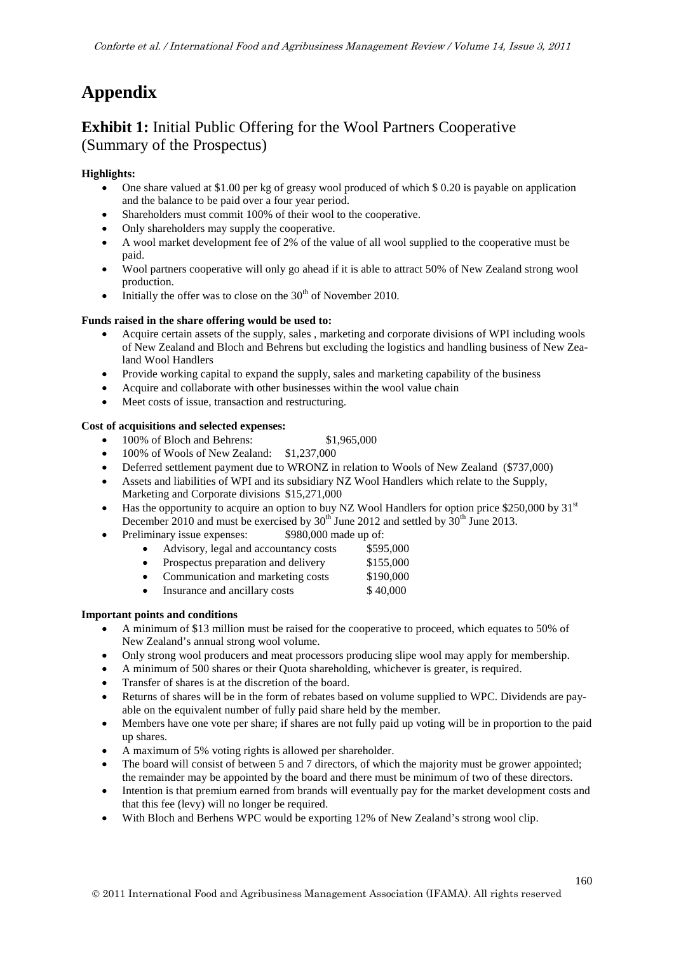# **Appendix**

# **Exhibit 1:** Initial Public Offering for the Wool Partners Cooperative (Summary of the Prospectus)

#### **Highlights:**

- One share valued at \$1.00 per kg of greasy wool produced of which \$ 0.20 is payable on application and the balance to be paid over a four year period.
- Shareholders must commit 100% of their wool to the cooperative.
- Only shareholders may supply the cooperative.
- A wool market development fee of 2% of the value of all wool supplied to the cooperative must be paid.
- Wool partners cooperative will only go ahead if it is able to attract 50% of New Zealand strong wool production.
- Initially the offer was to close on the  $30<sup>th</sup>$  of November 2010.

#### **Funds raised in the share offering would be used to:**

- Acquire certain assets of the supply, sales , marketing and corporate divisions of WPI including wools of New Zealand and Bloch and Behrens but excluding the logistics and handling business of New Zealand Wool Handlers
- Provide working capital to expand the supply, sales and marketing capability of the business
- Acquire and collaborate with other businesses within the wool value chain
- Meet costs of issue, transaction and restructuring.

#### **Cost of acquisitions and selected expenses:**

- 100% of Bloch and Behrens: \$1,965,000
- 100% of Wools of New Zealand: \$1,237,000
- Deferred settlement payment due to WRONZ in relation to Wools of New Zealand (\$737,000)
- Assets and liabilities of WPI and its subsidiary NZ Wool Handlers which relate to the Supply, Marketing and Corporate divisions \$15,271,000
- Has the opportunity to acquire an option to buy NZ Wool Handlers for option price \$250,000 by  $31<sup>st</sup>$ December 2010 and must be exercised by  $30<sup>th</sup>$  June 2012 and settled by  $30<sup>th</sup>$  June 2013.
- Preliminary issue expenses: \$980,000 made up of:
	- Advisory, legal and accountancy costs \$595,000
	- Prospectus preparation and delivery \$155,000
	- Communication and marketing costs \$190,000
	- Insurance and ancillary costs \$40,000

#### **Important points and conditions**

- A minimum of \$13 million must be raised for the cooperative to proceed, which equates to 50% of New Zealand's annual strong wool volume.
- Only strong wool producers and meat processors producing slipe wool may apply for membership.
- A minimum of 500 shares or their Quota shareholding, whichever is greater, is required.
- Transfer of shares is at the discretion of the board.
- Returns of shares will be in the form of rebates based on volume supplied to WPC. Dividends are payable on the equivalent number of fully paid share held by the member.
- Members have one vote per share; if shares are not fully paid up voting will be in proportion to the paid up shares.
- A maximum of 5% voting rights is allowed per shareholder.
- The board will consist of between 5 and 7 directors, of which the majority must be grower appointed; the remainder may be appointed by the board and there must be minimum of two of these directors.
- Intention is that premium earned from brands will eventually pay for the market development costs and that this fee (levy) will no longer be required.
- With Bloch and Berhens WPC would be exporting 12% of New Zealand's strong wool clip.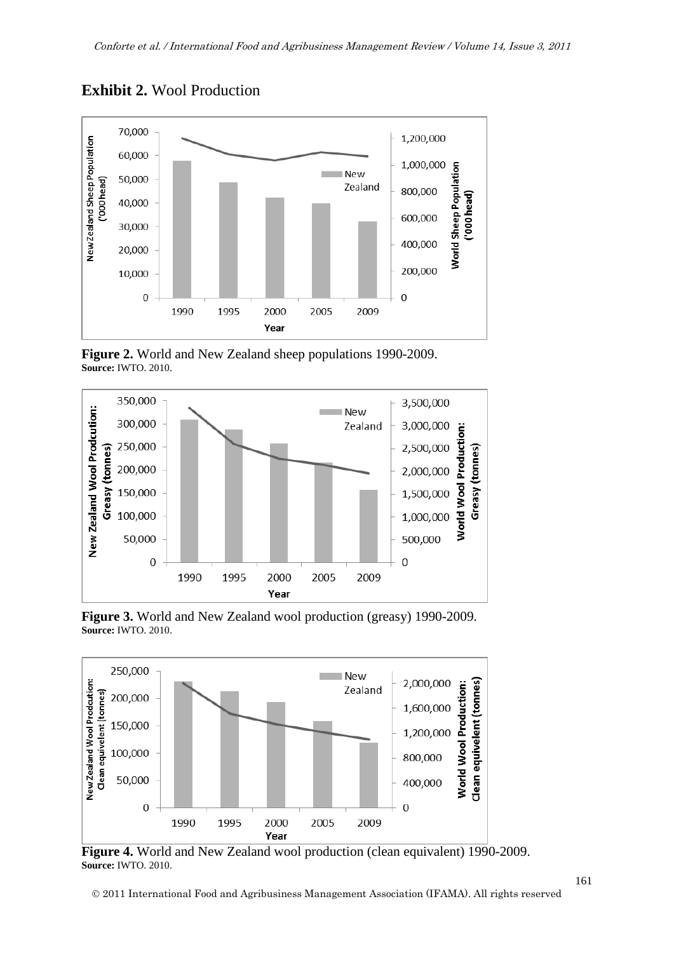

**Exhibit 2.** Wool Production

**Figure 2.** World and New Zealand sheep populations 1990-2009. **Source:** IWTO. 2010.



**Figure 3.** World and New Zealand wool production (greasy) 1990-2009. **Source:** IWTO. 2010.



**Figure 4.** World and New Zealand wool production (clean equivalent) 1990-2009. **Source:** IWTO. 2010.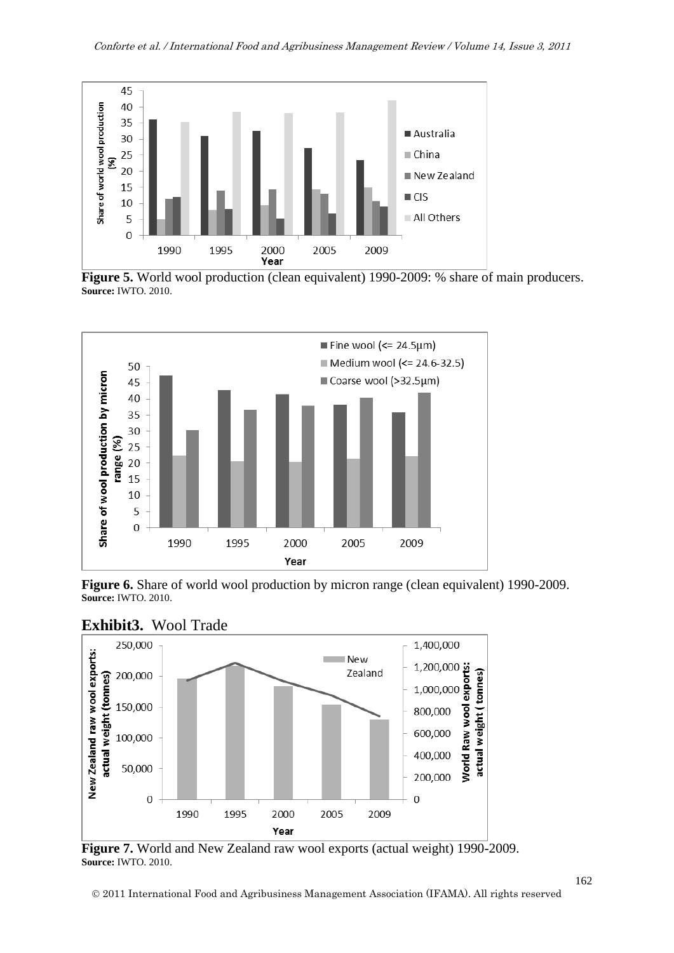

**Figure 5.** World wool production (clean equivalent) 1990-2009: % share of main producers. **Source:** IWTO. 2010.



**Figure 6.** Share of world wool production by micron range (clean equivalent) 1990-2009. **Source:** IWTO. 2010.



**Exhibit3.** Wool Trade

**Figure 7.** World and New Zealand raw wool exports (actual weight) 1990-2009. **Source:** IWTO. 2010.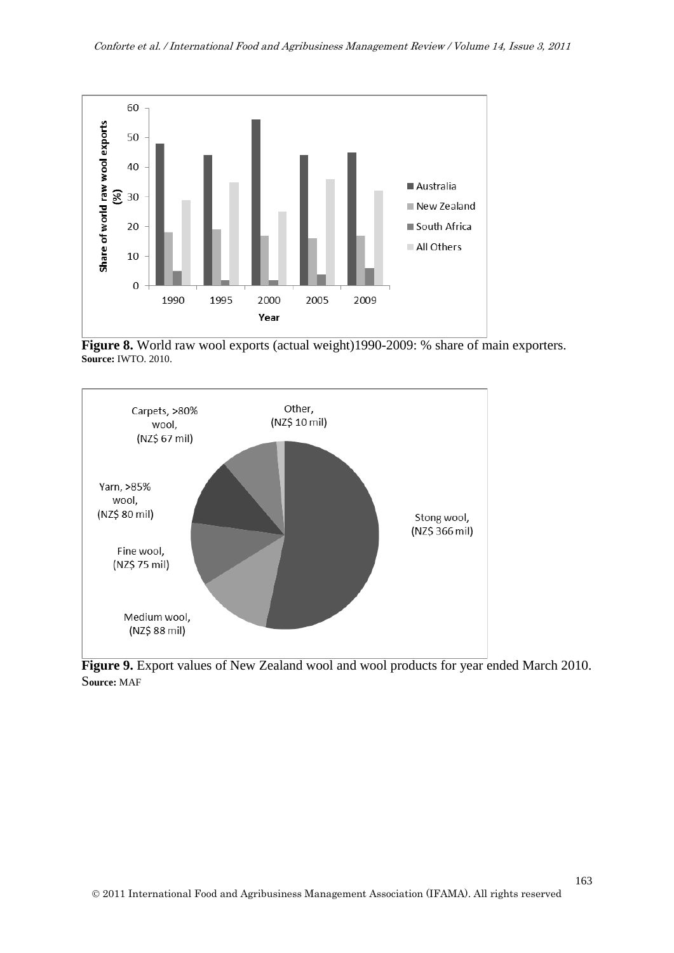

**Figure 8.** World raw wool exports (actual weight)1990-2009: % share of main exporters. **Source:** IWTO. 2010.



**Figure 9.** Export values of New Zealand wool and wool products for year ended March 2010. S**ource:** MAF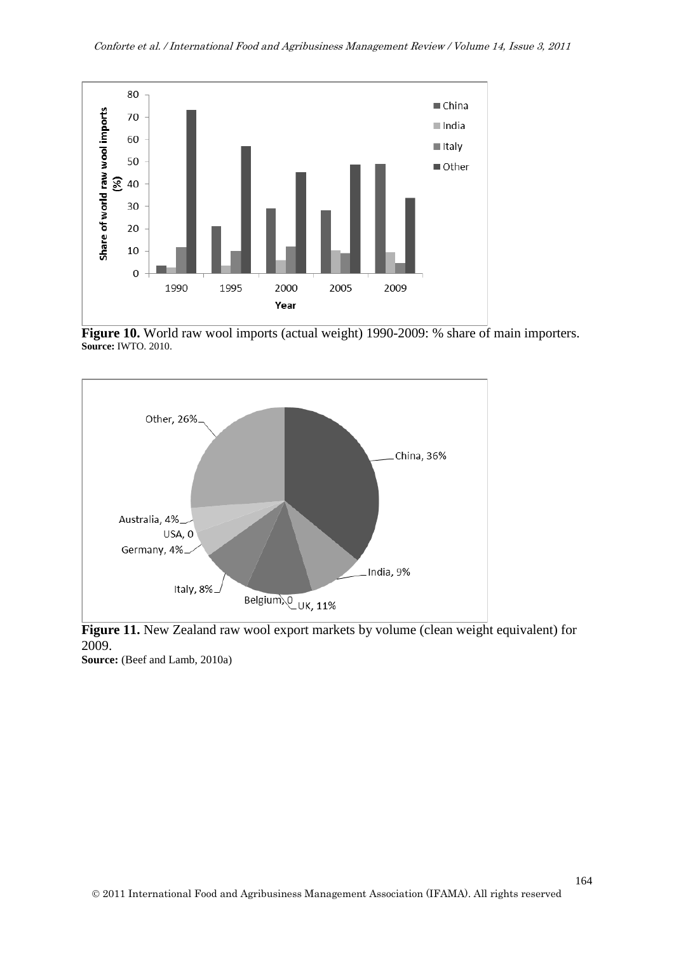

Figure 10. World raw wool imports (actual weight) 1990-2009: % share of main importers. **Source:** IWTO. 2010.



**Figure 11.** New Zealand raw wool export markets by volume (clean weight equivalent) for 2009. **Source:** (Beef and Lamb, 2010a)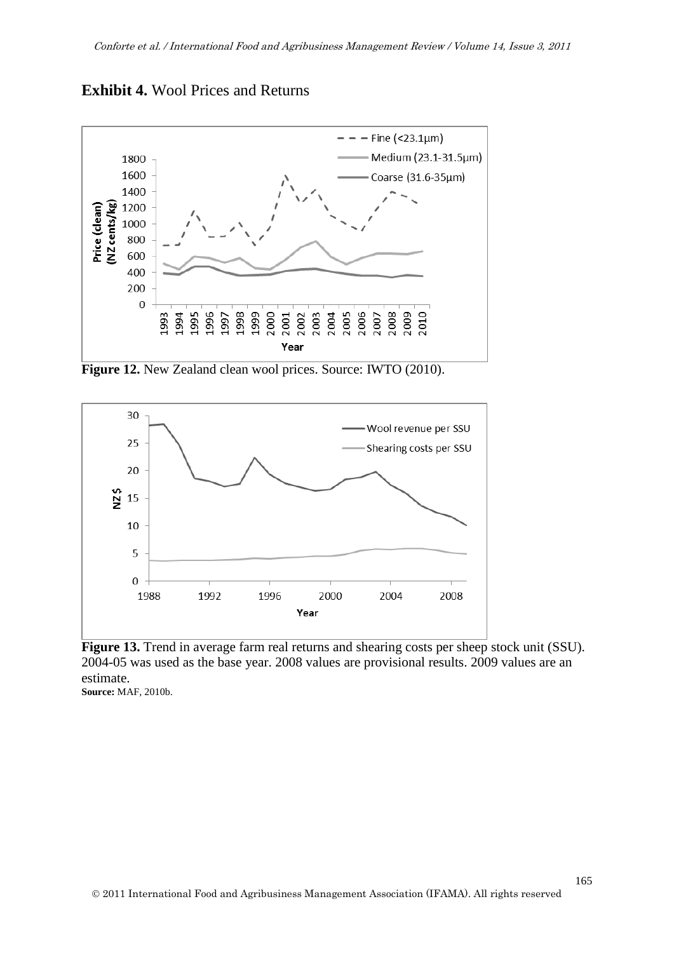



**Figure 12.** New Zealand clean wool prices. Source: IWTO (2010).



**Figure 13.** Trend in average farm real returns and shearing costs per sheep stock unit (SSU). 2004-05 was used as the base year. 2008 values are provisional results. 2009 values are an estimate.

**Source:** MAF, 2010b.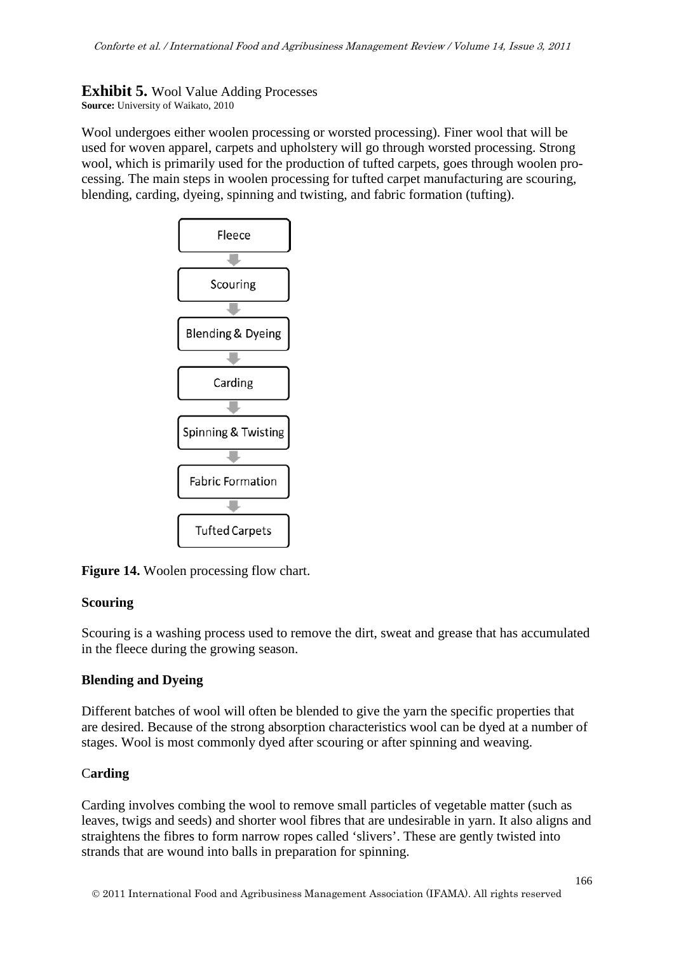**Exhibit 5.** Wool Value Adding Processes **Source:** University of Waikato, 2010

Wool undergoes either woolen processing or worsted processing). Finer wool that will be used for woven apparel, carpets and upholstery will go through worsted processing. Strong wool, which is primarily used for the production of tufted carpets, goes through woolen processing. The main steps in woolen processing for tufted carpet manufacturing are scouring, blending, carding, dyeing, spinning and twisting, and fabric formation (tufting).



**Figure 14.** Woolen processing flow chart.

### **Scouring**

Scouring is a washing process used to remove the dirt, sweat and grease that has accumulated in the fleece during the growing season.

### **Blending and Dyeing**

Different batches of wool will often be blended to give the yarn the specific properties that are desired. Because of the strong absorption characteristics wool can be dyed at a number of stages. Wool is most commonly dyed after scouring or after spinning and weaving.

### C**arding**

Carding involves combing the wool to remove small particles of vegetable matter (such as leaves, twigs and seeds) and shorter wool fibres that are undesirable in yarn. It also aligns and straightens the fibres to form narrow ropes called 'slivers'. These are gently twisted into strands that are wound into balls in preparation for spinning.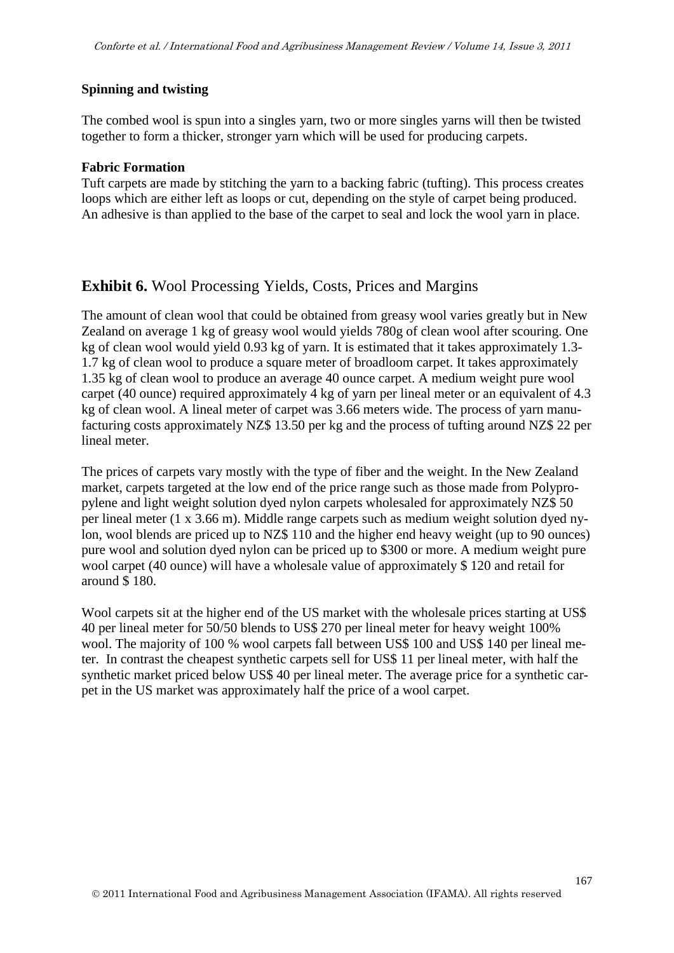### **Spinning and twisting**

The combed wool is spun into a singles yarn, two or more singles yarns will then be twisted together to form a thicker, stronger yarn which will be used for producing carpets.

### **Fabric Formation**

Tuft carpets are made by stitching the yarn to a backing fabric (tufting). This process creates loops which are either left as loops or cut, depending on the style of carpet being produced. An adhesive is than applied to the base of the carpet to seal and lock the wool yarn in place.

### **Exhibit 6.** Wool Processing Yields, Costs, Prices and Margins

The amount of clean wool that could be obtained from greasy wool varies greatly but in New Zealand on average 1 kg of greasy wool would yields 780g of clean wool after scouring. One kg of clean wool would yield 0.93 kg of yarn. It is estimated that it takes approximately 1.3- 1.7 kg of clean wool to produce a square meter of broadloom carpet. It takes approximately 1.35 kg of clean wool to produce an average 40 ounce carpet. A medium weight pure wool carpet (40 ounce) required approximately 4 kg of yarn per lineal meter or an equivalent of 4.3 kg of clean wool. A lineal meter of carpet was 3.66 meters wide. The process of yarn manufacturing costs approximately NZ\$ 13.50 per kg and the process of tufting around NZ\$ 22 per lineal meter.

The prices of carpets vary mostly with the type of fiber and the weight. In the New Zealand market, carpets targeted at the low end of the price range such as those made from Polypropylene and light weight solution dyed nylon carpets wholesaled for approximately NZ\$ 50 per lineal meter (1 x 3.66 m). Middle range carpets such as medium weight solution dyed nylon, wool blends are priced up to NZ\$ 110 and the higher end heavy weight (up to 90 ounces) pure wool and solution dyed nylon can be priced up to \$300 or more. A medium weight pure wool carpet (40 ounce) will have a wholesale value of approximately \$ 120 and retail for around \$ 180.

Wool carpets sit at the higher end of the US market with the wholesale prices starting at US\$ 40 per lineal meter for 50/50 blends to US\$ 270 per lineal meter for heavy weight 100% wool. The majority of 100 % wool carpets fall between US\$ 100 and US\$ 140 per lineal meter. In contrast the cheapest synthetic carpets sell for US\$ 11 per lineal meter, with half the synthetic market priced below US\$ 40 per lineal meter. The average price for a synthetic carpet in the US market was approximately half the price of a wool carpet.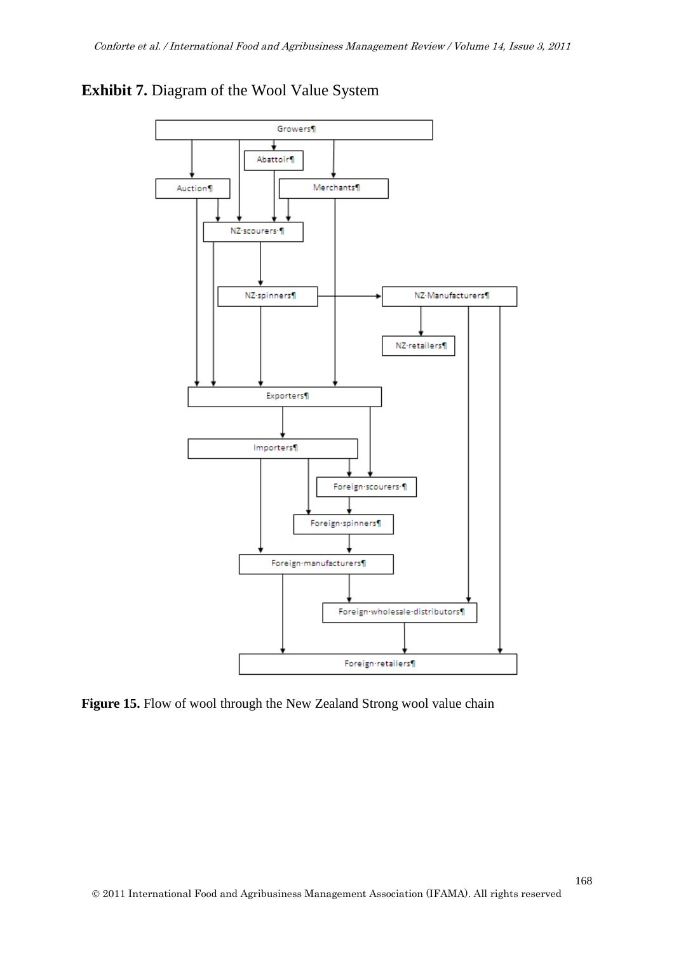

### **Exhibit 7.** Diagram of the Wool Value System

Figure 15. Flow of wool through the New Zealand Strong wool value chain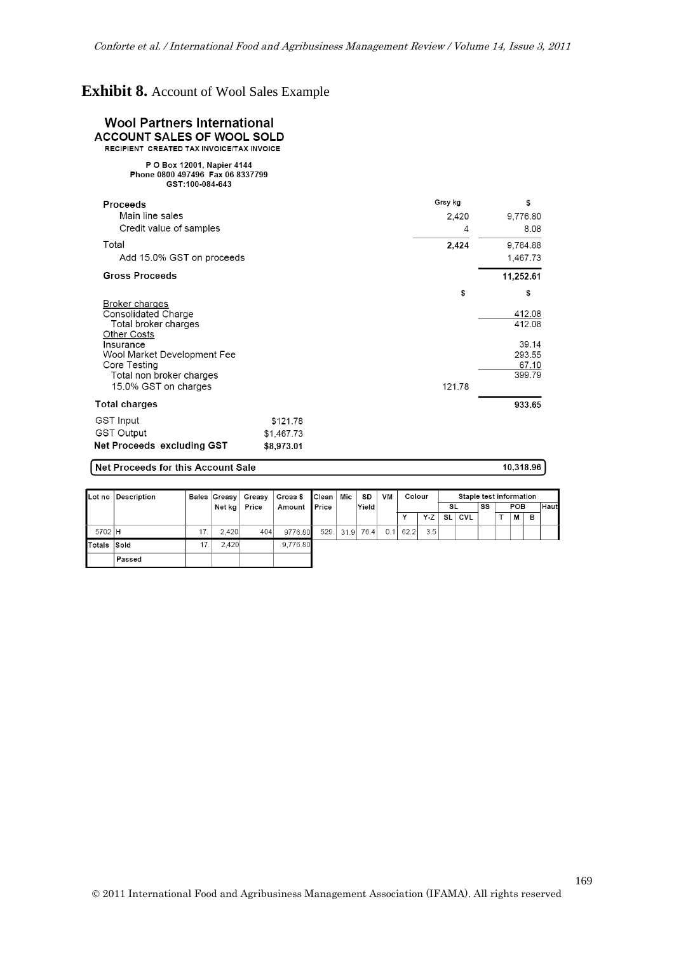# **Exhibit 8.** Account of Wool Sales Example

| <b>Wool Partners International</b><br><b>ACCOUNT SALES OF WOOL SOLD</b><br>RECIPIENT CREATED TAX INVOICE/TAX INVOICE |            |         |                 |
|----------------------------------------------------------------------------------------------------------------------|------------|---------|-----------------|
| P O Box 12001, Napier 4144<br>Phone 0800 497496 Fax 06 8337799<br>GST:100-084-643                                    |            |         |                 |
| <b>Proceeds</b>                                                                                                      |            | Grsy kg | \$              |
| Main line sales                                                                                                      |            | 2,420   | 9,776.80        |
| Credit value of samples                                                                                              |            | 4       | 8.08            |
| Total                                                                                                                |            | 2,424   | 9,784.88        |
| Add 15.0% GST on proceeds                                                                                            |            |         | 1.467.73        |
| <b>Gross Proceeds</b>                                                                                                |            |         | 11,252.61       |
|                                                                                                                      |            | \$      | \$              |
| Broker charges<br>Consolidated Charge                                                                                |            |         | 412.08          |
| Total broker charges                                                                                                 |            |         | 412.08          |
| <b>Other Costs</b>                                                                                                   |            |         |                 |
| Insurance<br>Wool Market Development Fee                                                                             |            |         | 39.14<br>293.55 |
| Core Testing                                                                                                         |            |         | 67.10           |
| Total non broker charges                                                                                             |            |         | 399.79          |
| 15.0% GST on charges                                                                                                 |            | 121.78  |                 |
| <b>Total charges</b>                                                                                                 |            |         | 933.65          |
| <b>GST Input</b>                                                                                                     | \$121.78   |         |                 |
| <b>GST Output</b>                                                                                                    | \$1,467.73 |         |                 |
| Net Proceeds excluding GST                                                                                           | \$8,973.01 |         |                 |

#### Net Proceeds for this Account Sale

10,318.96

|                    | Lot no Description | Bales Greasy | Greasy | Gross \$ Clean | Mic       | SD    | VM  | Colour       |     |     | Staple test information |    |     |   |      |
|--------------------|--------------------|--------------|--------|----------------|-----------|-------|-----|--------------|-----|-----|-------------------------|----|-----|---|------|
|                    |                    | Net kg l     | Price  | Amount Price   |           | Yield |     |              |     | SL. |                         | SS | POB |   | Haut |
|                    |                    |              |        |                |           |       |     | $\checkmark$ | Y Z | SL  | <b>CVL</b>              |    | М   | в |      |
| 5702 H             |                    | 2.420        | 404    | 9776.80        | 529. 31.9 | 76.4  | 0.1 | 62.2         | 3.5 |     |                         |    |     |   |      |
| <b>Totals Sold</b> |                    | 2.420        |        | 9,776.80       |           |       |     |              |     |     |                         |    |     |   |      |
|                    | Passed             |              |        |                |           |       |     |              |     |     |                         |    |     |   |      |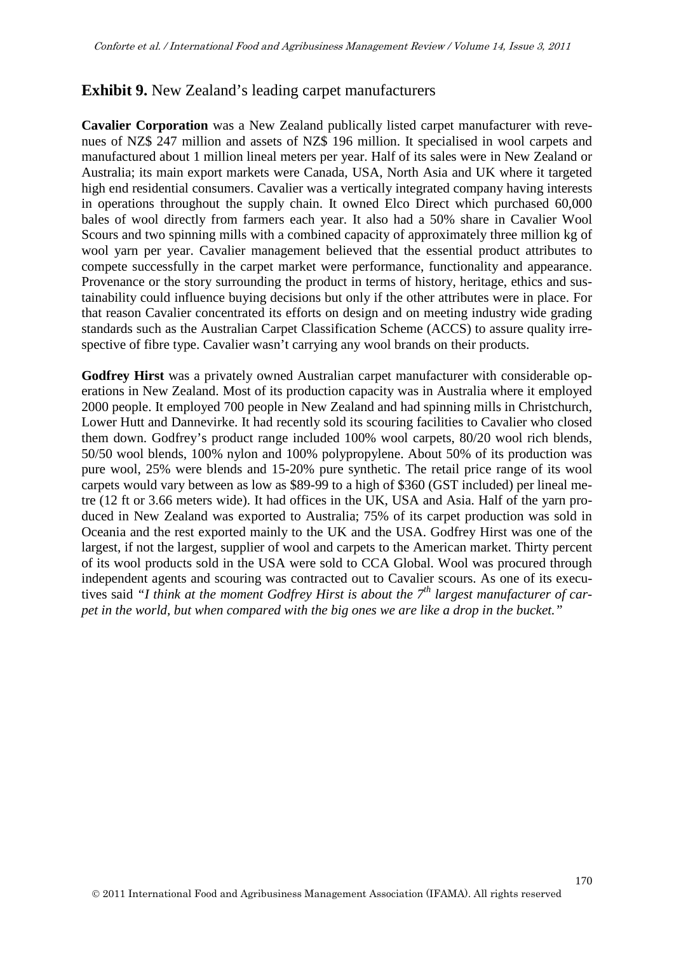### **Exhibit 9.** New Zealand's leading carpet manufacturers

**Cavalier Corporation** was a New Zealand publically listed carpet manufacturer with revenues of NZ\$ 247 million and assets of NZ\$ 196 million. It specialised in wool carpets and manufactured about 1 million lineal meters per year. Half of its sales were in New Zealand or Australia; its main export markets were Canada, USA, North Asia and UK where it targeted high end residential consumers. Cavalier was a vertically integrated company having interests in operations throughout the supply chain. It owned Elco Direct which purchased 60,000 bales of wool directly from farmers each year. It also had a 50% share in Cavalier Wool Scours and two spinning mills with a combined capacity of approximately three million kg of wool yarn per year. Cavalier management believed that the essential product attributes to compete successfully in the carpet market were performance, functionality and appearance. Provenance or the story surrounding the product in terms of history, heritage, ethics and sustainability could influence buying decisions but only if the other attributes were in place. For that reason Cavalier concentrated its efforts on design and on meeting industry wide grading standards such as the Australian Carpet Classification Scheme (ACCS) to assure quality irrespective of fibre type. Cavalier wasn't carrying any wool brands on their products.

**Godfrey Hirst** was a privately owned Australian carpet manufacturer with considerable operations in New Zealand. Most of its production capacity was in Australia where it employed 2000 people. It employed 700 people in New Zealand and had spinning mills in Christchurch, Lower Hutt and Dannevirke. It had recently sold its scouring facilities to Cavalier who closed them down. Godfrey's product range included 100% wool carpets, 80/20 wool rich blends, 50/50 wool blends, 100% nylon and 100% polypropylene. About 50% of its production was pure wool, 25% were blends and 15-20% pure synthetic. The retail price range of its wool carpets would vary between as low as \$89-99 to a high of \$360 (GST included) per lineal metre (12 ft or 3.66 meters wide). It had offices in the UK, USA and Asia. Half of the yarn produced in New Zealand was exported to Australia; 75% of its carpet production was sold in Oceania and the rest exported mainly to the UK and the USA. Godfrey Hirst was one of the largest, if not the largest, supplier of wool and carpets to the American market. Thirty percent of its wool products sold in the USA were sold to CCA Global. Wool was procured through independent agents and scouring was contracted out to Cavalier scours. As one of its executives said *"I think at the moment Godfrey Hirst is about the 7th largest manufacturer of carpet in the world, but when compared with the big ones we are like a drop in the bucket."*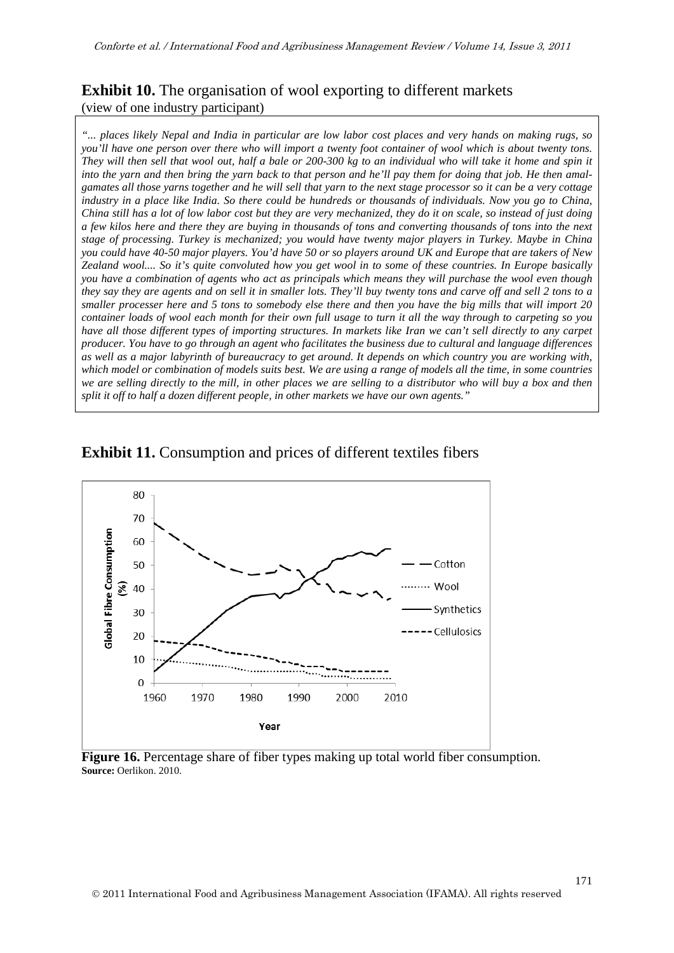### **Exhibit 10.** The organisation of wool exporting to different markets (view of one industry participant)

*"... places likely Nepal and India in particular are low labor cost places and very hands on making rugs, so you'll have one person over there who will import a twenty foot container of wool which is about twenty tons. They will then sell that wool out, half a bale or 200-300 kg to an individual who will take it home and spin it into the yarn and then bring the yarn back to that person and he'll pay them for doing that job. He then amalgamates all those yarns together and he will sell that yarn to the next stage processor so it can be a very cottage industry in a place like India. So there could be hundreds or thousands of individuals. Now you go to China, China still has a lot of low labor cost but they are very mechanized, they do it on scale, so instead of just doing a few kilos here and there they are buying in thousands of tons and converting thousands of tons into the next stage of processing. Turkey is mechanized; you would have twenty major players in Turkey. Maybe in China you could have 40-50 major players. You'd have 50 or so players around UK and Europe that are takers of New Zealand wool.... So it's quite convoluted how you get wool in to some of these countries. In Europe basically you have a combination of agents who act as principals which means they will purchase the wool even though they say they are agents and on sell it in smaller lots. They'll buy twenty tons and carve off and sell 2 tons to a smaller processer here and 5 tons to somebody else there and then you have the big mills that will import 20 container loads of wool each month for their own full usage to turn it all the way through to carpeting so you have all those different types of importing structures. In markets like Iran we can't sell directly to any carpet producer. You have to go through an agent who facilitates the business due to cultural and language differences as well as a major labyrinth of bureaucracy to get around. It depends on which country you are working with, which model or combination of models suits best. We are using a range of models all the time, in some countries we are selling directly to the mill, in other places we are selling to a distributor who will buy a box and then split it off to half a dozen different people, in other markets we have our own agents."*





**Figure 16.** Percentage share of fiber types making up total world fiber consumption. **Source:** Oerlikon. 2010.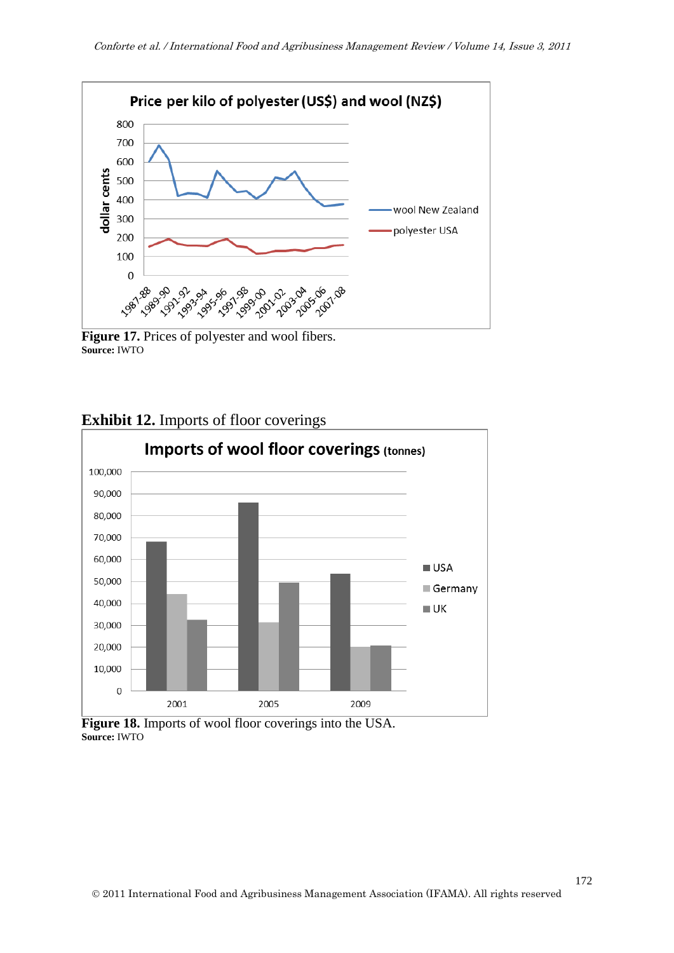

**Figure 17.** Prices of polyester and wool fibers. **Source:** IWTO



**Exhibit 12.** Imports of floor coverings

**Figure 18.** Imports of wool floor coverings into the USA. **Source:** IWTO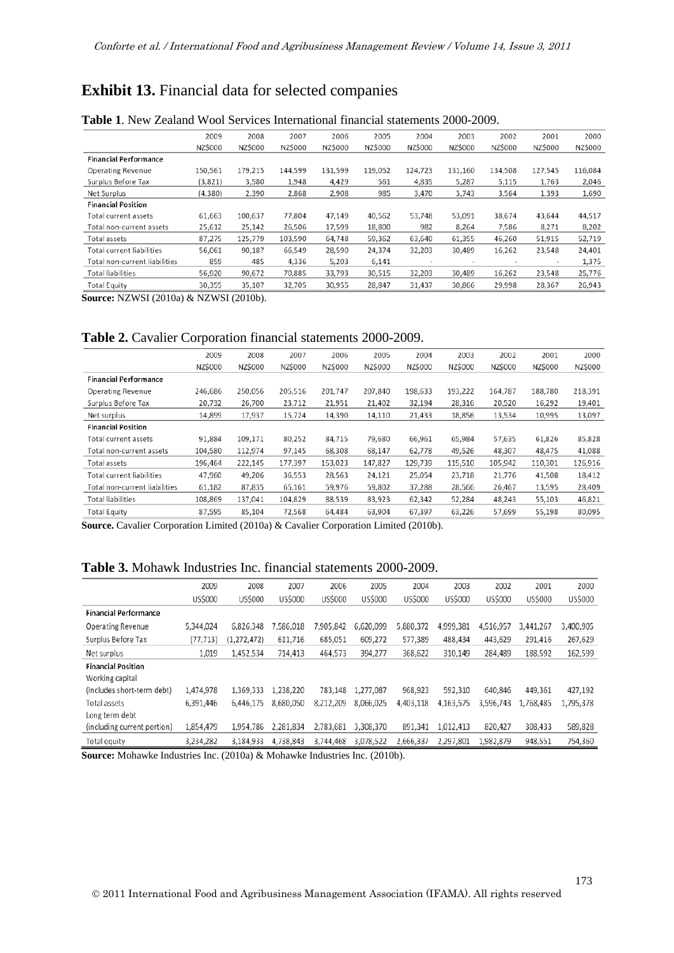# **Exhibit 13.** Financial data for selected companies

|                               | 2009     | 2008    | 2007    | 2006    | 2005    | 2004           | 2003    | 2002                     | 2001    | 2000    |
|-------------------------------|----------|---------|---------|---------|---------|----------------|---------|--------------------------|---------|---------|
|                               | NZ\$000  | NZ\$000 | NZ\$000 | NZ\$000 | NZ\$000 | <b>NZ\$000</b> | NZ\$000 | NZ\$000                  | NZ\$000 | NZ\$000 |
| <b>Financial Performance</b>  |          |         |         |         |         |                |         |                          |         |         |
| Operating Revenue             | 150,561  | 179,215 | 144,599 | 131,599 | 119,052 | 124,723        | 131,160 | 134,508                  | 127,545 | 116,084 |
| Surplus Before Tax            | (3,821)  | 3,580   | 1,948   | 4,429   | 561     | 4,835          | 5,287   | 5,115                    | 1,763   | 2,046   |
| Net Surplus                   | (4, 380) | 2,390   | 2,868   | 2,908   | 985     | 3,470          | 3,743   | 3,564                    | 1,393   | 1,690   |
| <b>Financial Position</b>     |          |         |         |         |         |                |         |                          |         |         |
| Total current assets          | 61,663   | 100,637 | 77,804  | 47,149  | 40,562  | 53,748         | 53,091  | 38,674                   | 43,644  | 44,517  |
| Total non-current assets      | 25,612   | 25,142  | 26,506  | 17,599  | 18,800  | 982            | 8,264   | 7,586                    | 8,271   | 8,202   |
| Total assets                  | 87.275   | 125,779 | 103,590 | 64,748  | 59.362  | 63,640         | 61.355  | 46.260                   | 51.915  | 52,719  |
| Total current liabilities     | 56,061   | 90,187  | 66,549  | 28,590  | 24,374  | 32,203         | 30,489  | 16,262                   | 23,548  | 24,401  |
| Total non-current liabilities | 859      | 485     | 4.336   | 5.203   | 6,141   | $\,$           | $\,$    | $\overline{\phantom{a}}$ | $\,$    | 1.375   |
| <b>Total liabilities</b>      | 56,920   | 90,672  | 70,885  | 33,793  | 30,515  | 32,203         | 30,489  | 16,262                   | 23,548  | 25,776  |
| <b>Total Equity</b>           | 30,355   | 35,107  | 32,705  | 30,955  | 28,847  | 31,437         | 30,866  | 29,998                   | 28,367  | 26,943  |
|                               |          |         |         |         |         |                |         |                          |         |         |

#### **Table 1**. New Zealand Wool Services International financial statements 2000-2009.

**Source:** NZWSI (2010a) & NZWSI (2010b).

#### **Table 2.** Cavalier Corporation financial statements 2000-2009.

|                               | 2009    | 2008    | 2007    | 2006    | 2005    | 2004    | 2003    | 2002    | 2001    | 2000    |
|-------------------------------|---------|---------|---------|---------|---------|---------|---------|---------|---------|---------|
|                               | NZ\$000 | NZ\$000 | NZ\$000 | NZ\$000 | NZ\$000 | NZ\$000 | NZ\$000 | NZ\$000 | NZ\$000 | NZ\$000 |
| <b>Financial Performance</b>  |         |         |         |         |         |         |         |         |         |         |
| <b>Operating Revenue</b>      | 246,686 | 250,056 | 205,516 | 201,747 | 207,840 | 198,633 | 193,222 | 164,787 | 188,780 | 218,391 |
| Surplus Before Tax            | 20,732  | 26,700  | 23,712  | 21,951  | 21,402  | 32,194  | 28,316  | 20,520  | 16,292  | 19,401  |
| Net surplus                   | 14,899  | 17,937  | 15,724  | 14,390  | 14,110  | 21,433  | 18,856  | 13,534  | 10,995  | 13,097  |
| <b>Financial Position</b>     |         |         |         |         |         |         |         |         |         |         |
| Total current assets          | 91.884  | 109.171 | 80.252  | 84,715  | 79,680  | 66.961  | 65.984  | 57.635  | 61.826  | 85,828  |
| Total non-current assets      | 104,580 | 112,974 | 97,145  | 68,308  | 68,147  | 62,778  | 49,526  | 48,307  | 48,475  | 41,088  |
| Total assets                  | 196,464 | 222,145 | 177,397 | 153,023 | 147,827 | 129,739 | 115,510 | 105,942 | 110,301 | 126,916 |
| Total current liabilities     | 47,960  | 49,206  | 36,553  | 28,563  | 24,121  | 25,054  | 23,718  | 21,776  | 41,508  | 18,412  |
| Total non-current liabilities | 61,182  | 87,835  | 65,161  | 59,976  | 59,802  | 37,288  | 28,566  | 26,467  | 13,595  | 28,409  |
| <b>Total liabilities</b>      | 108,869 | 137,041 | 104,829 | 88,539  | 83,923  | 62,342  | 52,284  | 48,243  | 55,103  | 46,821  |
| <b>Total Equity</b>           | 87.595  | 85.104  | 72,568  | 64,484  | 63,904  | 67.397  | 63,226  | 57.699  | 55,198  | 80,095  |
|                               |         |         |         |         |         |         |         |         |         |         |

**Source.** Cavalier Corporation Limited (2010a) & Cavalier Corporation Limited (2010b).

### **Table 3.** Mohawk Industries Inc. financial statements 2000-2009.

|                              | 2009      | 2008          | 2007      | 2006      | 2005      | 2004      | 2003      | 2002      | 2001      | 2000      |
|------------------------------|-----------|---------------|-----------|-----------|-----------|-----------|-----------|-----------|-----------|-----------|
|                              | US\$000   | US\$000       | US\$000   | US\$000   | US\$000   | US\$000   | US\$000   | US\$000   | US\$000   | US\$000   |
| <b>Financial Performance</b> |           |               |           |           |           |           |           |           |           |           |
| <b>Operating Revenue</b>     | 5,344,024 | 6,826,348     | 7,586,018 | 7,905,842 | 6,620,099 | 5,880,372 | 4,999,381 | 4,516,957 | 3,441,267 | 3,400,905 |
| Surplus Before Tax           | (77, 713) | (1, 272, 472) | 611,716   | 685,051   | 609,272   | 577,389   | 488,434   | 443,629   | 291,416   | 267,629   |
| Net surplus                  | 1,019     | 1,452,534     | 714,413   | 464,573   | 394,277   | 368,622   | 310,149   | 284,489   | 188,592   | 162,599   |
| <b>Financial Position</b>    |           |               |           |           |           |           |           |           |           |           |
| Working capital              |           |               |           |           |           |           |           |           |           |           |
| (includes short-term debt)   | 1,474,978 | 1,369,333     | 1,238,220 | 783,148   | 1,277,087 | 968,923   | 592,310   | 640,846   | 449,361   | 427,192   |
| <b>Total assets</b>          | 6,391,446 | 6,446,175     | 8,680,050 | 8,212,209 | 8,066,025 | 4,403,118 | 4,163,575 | 3,596,743 | 1,768,485 | 1,795,378 |
| Long term debt               |           |               |           |           |           |           |           |           |           |           |
| (including current portion)  | 1,854,479 | 1,954,786     | 2,281,834 | 2,783,681 | 3,308,370 | 891,341   | 1,012,413 | 820,427   | 308,433   | 589,828   |
| Total equity                 | 3,234,282 | 3,184,933     | 4.738.843 | 3.744.468 | 3,078,522 | 2,666,337 | 2.297.801 | 1,982,879 | 948,551   | 754,360   |

**Source:** Mohawke Industries Inc. (2010a) & Mohawke Industries Inc. (2010b).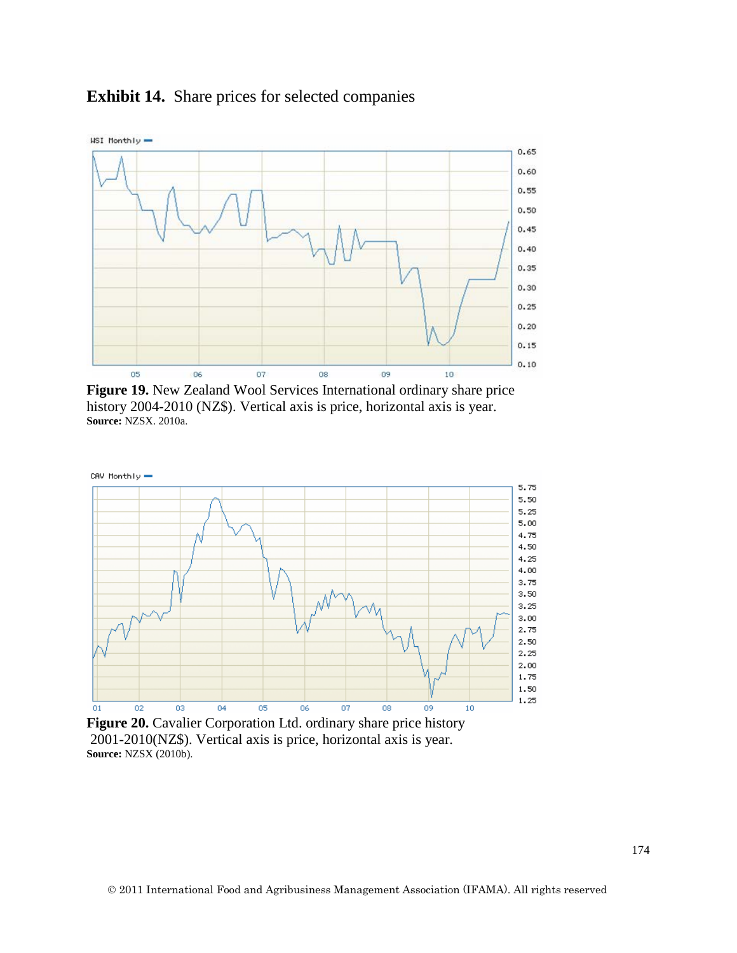

### **Exhibit 14.** Share prices for selected companies

**Figure 19.** New Zealand Wool Services International ordinary share price history 2004-2010 (NZ\$). Vertical axis is price, horizontal axis is year. **Source:** NZSX. 2010a.



**Figure 20.** Cavalier Corporation Ltd. ordinary share price history 2001-2010(NZ\$). Vertical axis is price, horizontal axis is year. **Source:** NZSX (2010b).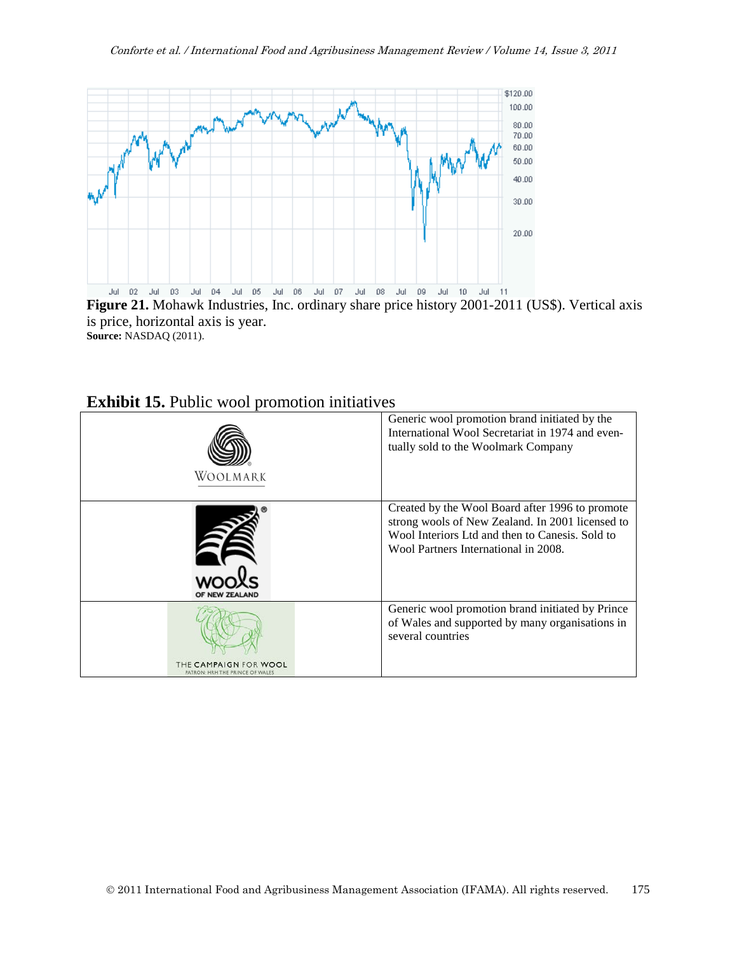

**Figure 21.** Mohawk Industries, Inc. ordinary share price history 2001-2011 (US\$). Vertical axis is price, horizontal axis is year. **Source:** NASDAQ (2011).

| <b>EXHIBIT 19:</b> I GOIL WOOL PROHIUGUL IIIHAA VUS      |                                                                                                                                                                                                |
|----------------------------------------------------------|------------------------------------------------------------------------------------------------------------------------------------------------------------------------------------------------|
| WOOLMARK                                                 | Generic wool promotion brand initiated by the<br>International Wool Secretariat in 1974 and even-<br>tually sold to the Woolmark Company                                                       |
| OF NEW ZEALAND                                           | Created by the Wool Board after 1996 to promote<br>strong wools of New Zealand. In 2001 licensed to<br>Wool Interiors Ltd and then to Canesis. Sold to<br>Wool Partners International in 2008. |
| THE CAMPAIGN FOR WOOL<br>PATRON: HRH THE PRINCE OF WALE! | Generic wool promotion brand initiated by Prince<br>of Wales and supported by many organisations in<br>several countries                                                                       |

### **Exhibit 15.** Public wool promotion initiatives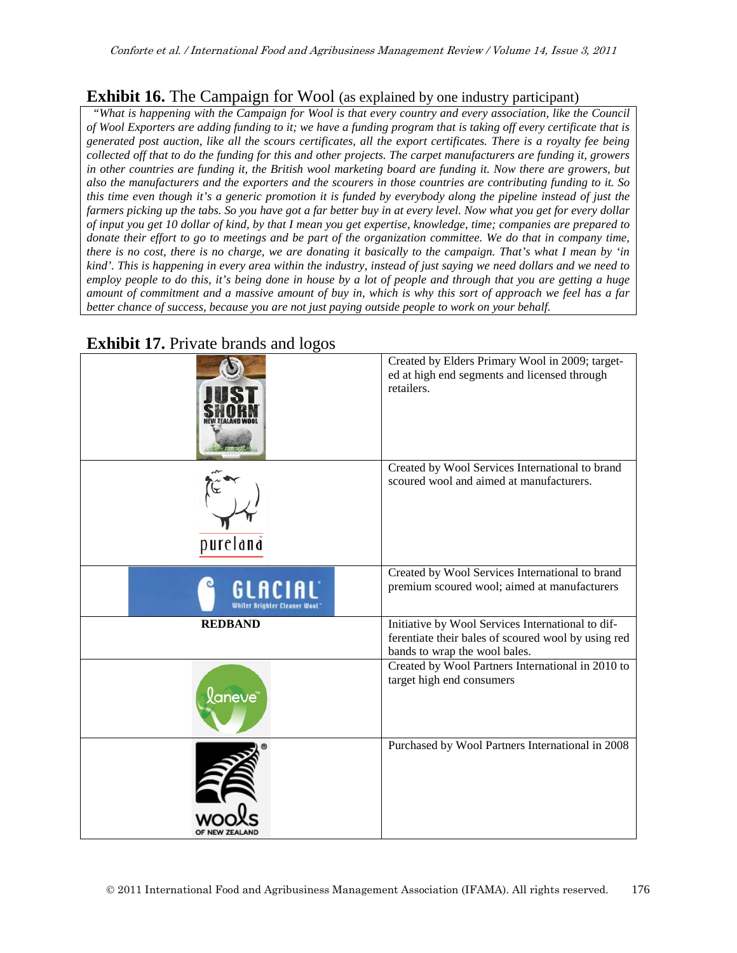### **Exhibit 16.** The Campaign for Wool (as explained by one industry participant)

*"What is happening with the Campaign for Wool is that every country and every association, like the Council of Wool Exporters are adding funding to it; we have a funding program that is taking off every certificate that is generated post auction, like all the scours certificates, all the export certificates. There is a royalty fee being collected off that to do the funding for this and other projects. The carpet manufacturers are funding it, growers in other countries are funding it, the British wool marketing board are funding it. Now there are growers, but also the manufacturers and the exporters and the scourers in those countries are contributing funding to it. So this time even though it's a generic promotion it is funded by everybody along the pipeline instead of just the farmers picking up the tabs. So you have got a far better buy in at every level. Now what you get for every dollar of input you get 10 dollar of kind, by that I mean you get expertise, knowledge, time; companies are prepared to donate their effort to go to meetings and be part of the organization committee. We do that in company time, there is no cost, there is no charge, we are donating it basically to the campaign. That's what I mean by 'in kind'. This is happening in every area within the industry, instead of just saying we need dollars and we need to employ people to do this, it's being done in house by a lot of people and through that you are getting a huge amount of commitment and a massive amount of buy in, which is why this sort of approach we feel has a far better chance of success, because you are not just paying outside people to work on your behalf.*



**Exhibit 17.** Private brands and logos